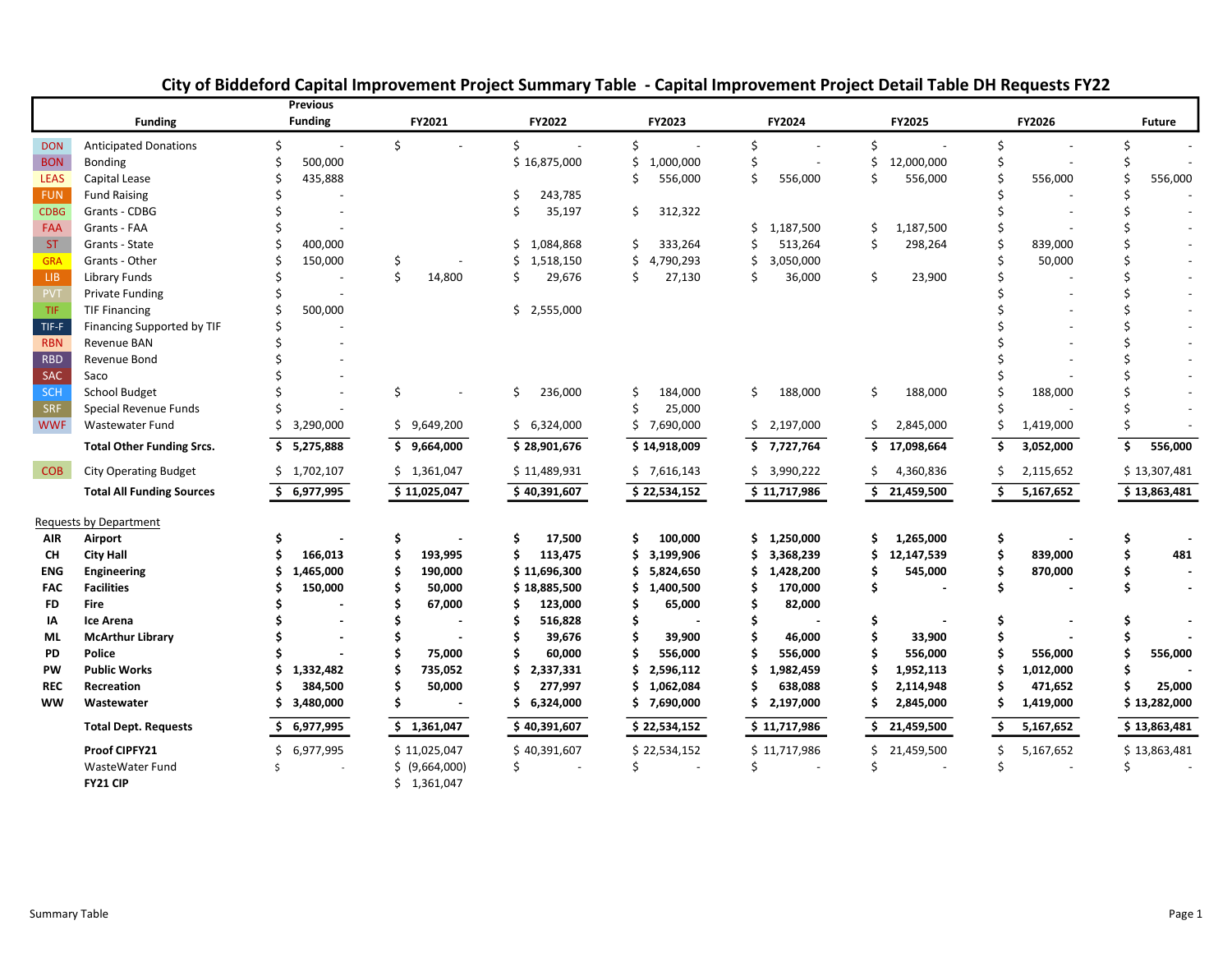|             |                                  | <b>Previous</b>               |                |                  |                  |                                |                  |                               |               |
|-------------|----------------------------------|-------------------------------|----------------|------------------|------------------|--------------------------------|------------------|-------------------------------|---------------|
|             | <b>Funding</b>                   | <b>Funding</b>                | FY2021         | FY2022           | FY2023           | FY2024                         | FY2025           | FY2026                        | <b>Future</b> |
| <b>DON</b>  | <b>Anticipated Donations</b>     | Ś<br>$\overline{\phantom{a}}$ | \$             | Ś<br>$\sim$      | \$<br>$\sim$     | Ś.<br>$\overline{\phantom{a}}$ | \$               | Ś<br>$\overline{\phantom{a}}$ |               |
| <b>BON</b>  | <b>Bonding</b>                   | 500,000                       |                | \$16,875,000     | 1,000,000<br>\$  | Ś                              | 12,000,000<br>Ś  |                               |               |
| <b>LEAS</b> | Capital Lease                    | 435,888                       |                |                  | Ś<br>556,000     | \$<br>556,000                  | Ś<br>556,000     | 556,000                       | 556,000       |
| <b>FUN</b>  | <b>Fund Raising</b>              |                               |                | 243,785          |                  |                                |                  |                               |               |
| <b>CDBG</b> | Grants - CDBG                    |                               |                | 35,197<br>Ś      | 312,322<br>\$    |                                |                  |                               |               |
| FAA         | Grants - FAA                     |                               |                |                  |                  | 1,187,500<br>\$                | 1,187,500<br>\$  |                               |               |
| <b>ST</b>   | Grants - State                   | 400,000                       |                | Ś.<br>1,084,868  | 333,264<br>\$    | 513,264<br>Ś                   | Ś<br>298,264     | 839,000                       |               |
| <b>GRA</b>  | Grants - Other                   | 150,000                       |                | Ś.<br>1,518,150  | Ś.<br>4,790,293  | Ś<br>3,050,000                 |                  | 50,000                        |               |
| LIB.        | Library Funds                    |                               | Ś<br>14,800    | 29,676<br>Ś      | 27,130<br>\$     | Ś<br>36,000                    | \$<br>23,900     |                               |               |
| <b>PVT</b>  | <b>Private Funding</b>           |                               |                |                  |                  |                                |                  |                               |               |
| TIF         | <b>TIF Financing</b>             | 500,000                       |                | \$2,555,000      |                  |                                |                  |                               |               |
| TIF-F       | Financing Supported by TIF       |                               |                |                  |                  |                                |                  |                               |               |
| <b>RBN</b>  | Revenue BAN                      |                               |                |                  |                  |                                |                  |                               |               |
| <b>RBD</b>  | Revenue Bond                     |                               |                |                  |                  |                                |                  |                               |               |
| <b>SAC</b>  | Saco                             |                               |                |                  |                  |                                |                  |                               |               |
| SCH         | <b>School Budget</b>             |                               | \$             | 236,000<br>\$    | 184,000<br>\$    | \$<br>188,000                  | \$<br>188,000    | 188,000                       |               |
| <b>SRF</b>  | Special Revenue Funds            |                               |                |                  | Ś<br>25,000      |                                |                  |                               |               |
| <b>WWF</b>  | Wastewater Fund                  | 3,290,000                     | \$9,649,200    | \$6,324,000      | \$7,690,000      | \$2,197,000                    | \$.<br>2,845,000 | 1,419,000                     |               |
|             | <b>Total Other Funding Srcs.</b> | S.<br>5,275,888               | \$9,664,000    | \$28,901,676     | \$14,918,009     | \$7,727,764                    | \$<br>17,098,664 | 3,052,000<br>\$.              | Ŝ.<br>556,000 |
| <b>COB</b>  | <b>City Operating Budget</b>     | \$1,702,107                   | \$1,361,047    | \$11,489,931     | \$7,616,143      | \$3,990,222                    | 4,360,836        | 2,115,652                     | \$13,307,481  |
|             | <b>Total All Funding Sources</b> | \$6,977,995                   | \$11,025,047   | \$40,391,607     | \$22,534,152     | $\overline{5}$ 11,717,986      | \$<br>21,459,500 | \$<br>5,167,652               | \$13,863,481  |
|             | Requests by Department           |                               |                |                  |                  |                                |                  |                               |               |
| <b>AIR</b>  | Airport                          |                               | Ś              | \$<br>17,500     | 100,000<br>Ś     | \$.<br>1,250,000               | \$<br>1,265,000  | \$                            |               |
| CН          | <b>City Hall</b>                 | 166,013                       | 193,995        | \$<br>113,475    | 3,199,906<br>Ś.  | 3,368,239<br>\$                | 12,147,539<br>Ś  | \$<br>839,000                 | 481           |
| <b>ENG</b>  | <b>Engineering</b>               | 1,465,000                     | 190,000        | \$11,696,300     | 5,824,650        | 1,428,200                      | 545,000          | Ś<br>870,000                  |               |
| <b>FAC</b>  | <b>Facilities</b>                | 150,000                       | 50,000         | \$18,885,500     | 1,400,500<br>\$. | 170,000                        | Ś                | \$                            |               |
| <b>FD</b>   | <b>Fire</b>                      |                               | 67,000         | \$<br>123,000    | 65,000<br>Ś.     | 82,000                         |                  |                               |               |
| ΙA          | <b>Ice Arena</b>                 |                               |                | \$<br>516,828    | \$               |                                | Ś                | Ś                             |               |
| ML          | <b>McArthur Library</b>          |                               |                | 39,676           | 39,900           | 46,000                         | 33,900           |                               |               |
| PD          | Police                           |                               | 75,000         | \$<br>60,000     | 556,000          | 556,000                        | 556,000          | 556,000                       | 556,000       |
| PW          | <b>Public Works</b>              | 1,332,482                     | 735,052        | 2,337,331<br>Ś.  | 2,596,112<br>\$  | 1,982,459                      | 1,952,113        | 1,012,000                     |               |
| <b>REC</b>  | Recreation                       | 384,500                       | 50,000         | \$<br>277,997    | 1,062,084<br>Ś   | 638,088                        | 2,114,948        | 471,652                       | 25,000        |
| <b>WW</b>   | Wastewater                       | 3,480,000<br>S                |                | 6,324,000<br>\$. | \$7,690,000      | 2,197,000<br>Ś.                | 2,845,000<br>S   | 1,419,000<br>S                | \$13,282,000  |
|             | <b>Total Dept. Requests</b>      | 6,977,995                     | \$1,361,047    | \$40,391,607     | \$22,534,152     | \$11,717,986                   | 21,459,500       | 5,167,652                     | \$13,863,481  |
|             | Proof CIPFY21                    | Ś.<br>6,977,995               | \$11,025,047   | \$40,391,607     | \$22,534,152     | \$11,717,986                   | Ś.<br>21,459,500 | Ś.<br>5,167,652               | \$13,863,481  |
|             | WasteWater Fund                  | $\varsigma$                   | \$ (9,664,000) | Ś                |                  |                                |                  |                               |               |
|             | FY21 CIP                         |                               | \$1,361,047    |                  |                  |                                |                  |                               |               |

# City of Biddeford Capital Improvement Project Summary Table - Capital Improvement Project Detail Table DH Requests FY22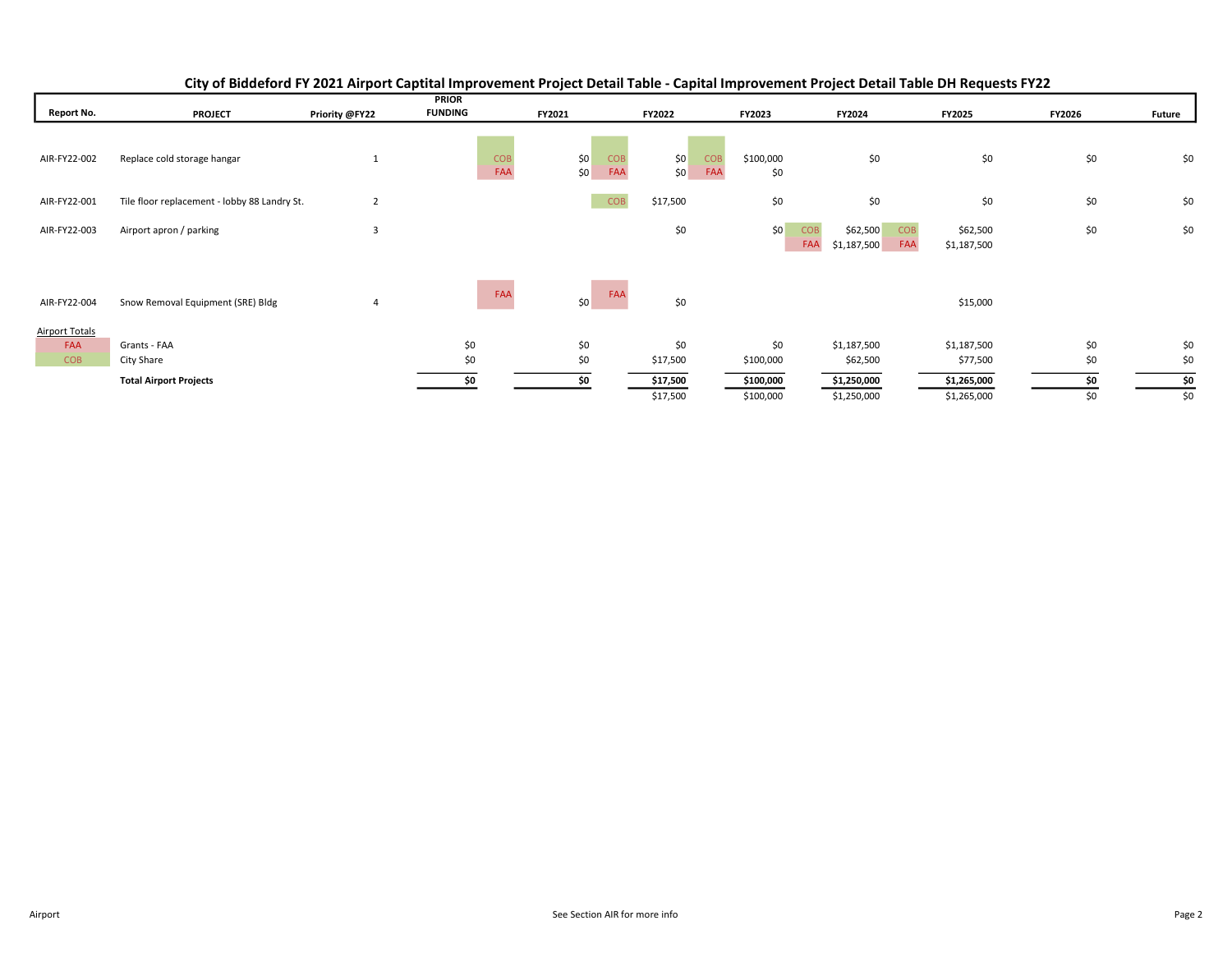|                                            |                                              |                | <b>PRIOR</b>      |                          |                 |                                       |                                              |                                              |            |               |
|--------------------------------------------|----------------------------------------------|----------------|-------------------|--------------------------|-----------------|---------------------------------------|----------------------------------------------|----------------------------------------------|------------|---------------|
| <b>Report No.</b>                          | <b>PROJECT</b>                               | Priority @FY22 | <b>FUNDING</b>    | FY2021                   | FY2022          | FY2023                                | FY2024                                       | FY2025                                       | FY2026     | <b>Future</b> |
| AIR-FY22-002                               | Replace cold storage hangar                  |                | <b>COB</b><br>FAA | \$0<br>COB<br>FAA<br>\$0 |                 | <b>COB</b><br>\$100,000<br>FAA<br>\$0 | \$0                                          | \$0                                          | \$0        | \$0           |
| AIR-FY22-001                               | Tile floor replacement - lobby 88 Landry St. | $\overline{2}$ |                   | <b>COB</b>               | \$17,500        | \$0                                   | \$0                                          | \$0                                          | \$0        | \$0           |
| AIR-FY22-003                               | Airport apron / parking                      | 3              |                   |                          | \$0             | \$0                                   | \$62,500<br><b>COB</b><br>FAA<br>\$1,187,500 | <b>COB</b><br>\$62,500<br>FAA<br>\$1,187,500 | \$0        | \$0           |
| AIR-FY22-004                               | Snow Removal Equipment (SRE) Bldg            |                | FAA               | FAA<br>\$0               | \$0             |                                       |                                              | \$15,000                                     |            |               |
| <b>Airport Totals</b><br>FAA<br><b>COB</b> | Grants - FAA<br>City Share                   |                | \$0<br>\$0        | \$0<br>\$0               | \$0<br>\$17,500 | \$0<br>\$100,000                      | \$1,187,500<br>\$62,500                      | \$1,187,500<br>\$77,500                      | \$0<br>\$0 | \$0<br>\$0    |
|                                            | <b>Total Airport Projects</b>                |                | \$0               | \$0                      | \$17,500        | \$100,000                             | \$1,250,000                                  | \$1,265,000                                  | \$0        | \$0           |
|                                            |                                              |                |                   |                          | \$17,500        | \$100,000                             | \$1,250,000                                  | \$1,265,000                                  | \$0        | \$0           |

## City of Biddeford FY 2021 Airport Captital Improvement Project Detail Table - Capital Improvement Project Detail Table DH Requests FY22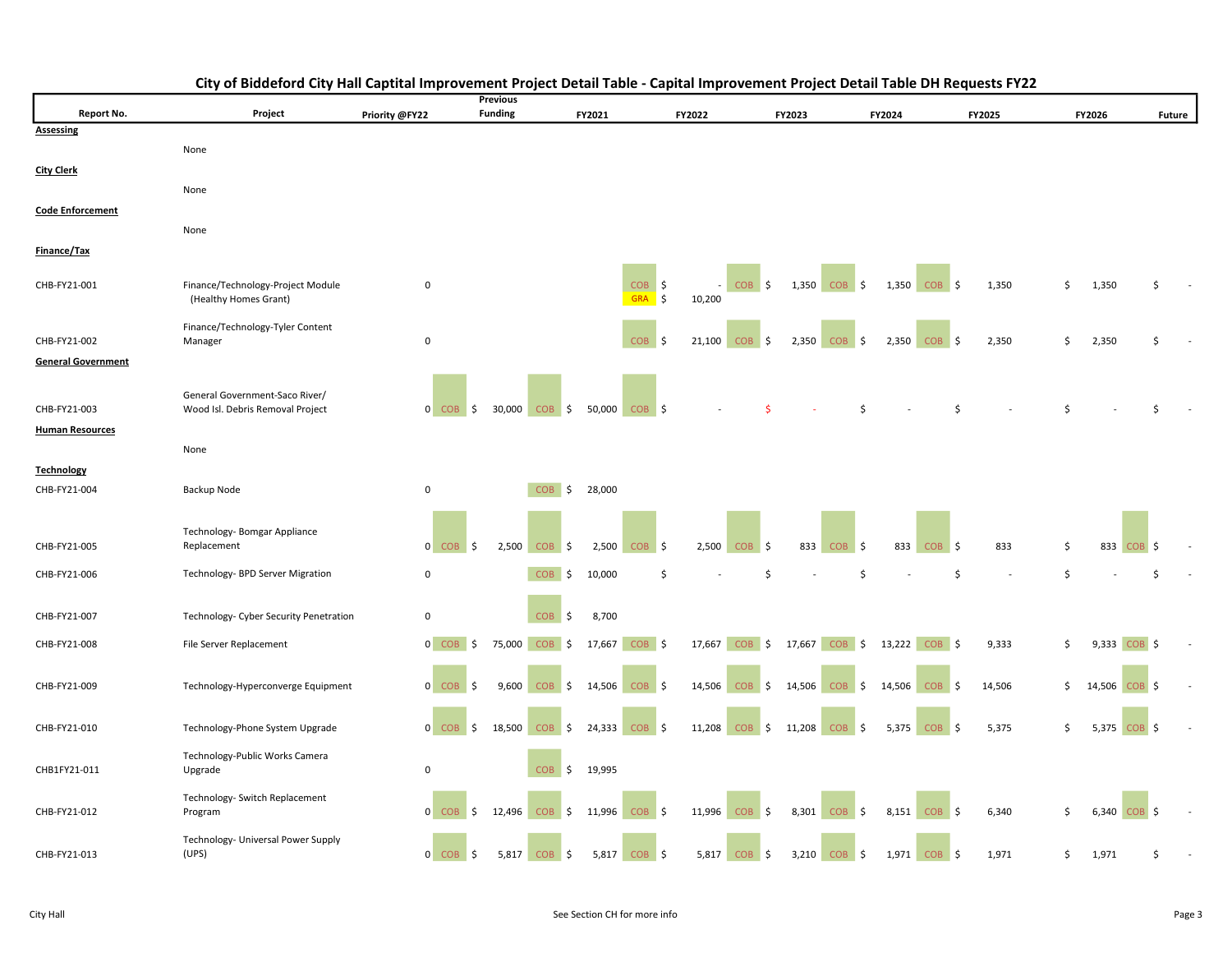|                           |                                             |                | <b>Previous</b> |                   |                             |                               |                    |                            |                   |        |    |                        |                   |
|---------------------------|---------------------------------------------|----------------|-----------------|-------------------|-----------------------------|-------------------------------|--------------------|----------------------------|-------------------|--------|----|------------------------|-------------------|
| Report No.                | Project                                     | Priority @FY22 | <b>Funding</b>  |                   | FY2021                      | FY2022                        | FY2023             |                            | FY2024            | FY2025 |    | FY2026                 | Future            |
| <b>Assessing</b>          |                                             |                |                 |                   |                             |                               |                    |                            |                   |        |    |                        |                   |
|                           | None                                        |                |                 |                   |                             |                               |                    |                            |                   |        |    |                        |                   |
| <b>City Clerk</b>         |                                             |                |                 |                   |                             |                               |                    |                            |                   |        |    |                        |                   |
|                           | None                                        |                |                 |                   |                             |                               |                    |                            |                   |        |    |                        |                   |
|                           |                                             |                |                 |                   |                             |                               |                    |                            |                   |        |    |                        |                   |
| <b>Code Enforcement</b>   |                                             |                |                 |                   |                             |                               |                    |                            |                   |        |    |                        |                   |
|                           | None                                        |                |                 |                   |                             |                               |                    |                            |                   |        |    |                        |                   |
| Finance/Tax               |                                             |                |                 |                   |                             |                               |                    |                            |                   |        |    |                        |                   |
|                           |                                             |                |                 |                   |                             |                               |                    |                            |                   |        |    |                        |                   |
| CHB-FY21-001              | Finance/Technology-Project Module           | $\mathsf 0$    |                 |                   | <b>COB</b>                  | \$                            | COB <sub>\$</sub>  | 1,350<br>COB <sub>\$</sub> | $1,350$ COB \$    | 1,350  | \$ | 1,350                  |                   |
|                           | (Healthy Homes Grant)                       |                |                 |                   | <b>GRA</b>                  | $\ddot{\mathsf{s}}$<br>10,200 |                    |                            |                   |        |    |                        |                   |
|                           |                                             |                |                 |                   |                             |                               |                    |                            |                   |        |    |                        |                   |
| CHB-FY21-002              | Finance/Technology-Tyler Content<br>Manager | 0              |                 |                   | <b>COB</b>                  | 21,100<br>-\$                 | $COB$ \$           | 2,350 COB \$               | $2,350$ COB \$    | 2,350  | Ś. | 2,350                  |                   |
|                           |                                             |                |                 |                   |                             |                               |                    |                            |                   |        |    |                        |                   |
| <b>General Government</b> |                                             |                |                 |                   |                             |                               |                    |                            |                   |        |    |                        |                   |
|                           |                                             |                |                 |                   |                             |                               |                    |                            |                   |        |    |                        |                   |
|                           | General Government-Saco River/              |                |                 |                   |                             |                               |                    |                            |                   |        |    |                        |                   |
| CHB-FY21-003              | Wood Isl. Debris Removal Project            | $0$ COB \$     |                 | 30,000 COB \$     | 50,000<br>$COB$ \$          |                               |                    |                            |                   | Ś      | Ŝ  |                        |                   |
| <b>Human Resources</b>    |                                             |                |                 |                   |                             |                               |                    |                            |                   |        |    |                        |                   |
|                           | None                                        |                |                 |                   |                             |                               |                    |                            |                   |        |    |                        |                   |
| <b>Technology</b>         |                                             |                |                 |                   |                             |                               |                    |                            |                   |        |    |                        |                   |
| CHB-FY21-004              | Backup Node                                 | 0              |                 | <b>COB</b><br>\$  | 28,000                      |                               |                    |                            |                   |        |    |                        |                   |
|                           |                                             |                |                 |                   |                             |                               |                    |                            |                   |        |    |                        |                   |
|                           |                                             |                |                 |                   |                             |                               |                    |                            |                   |        |    |                        |                   |
|                           | Technology- Bomgar Appliance                |                |                 |                   |                             |                               |                    |                            |                   |        |    |                        |                   |
| CHB-FY21-005              | Replacement                                 | $0$ COB \$     | 2,500           | <b>COB</b><br>\$  | 2,500<br>$COB$ \$           | 2,500                         | COB<br>\$          | 833<br><b>COB</b><br>- 15  | 833<br>$COB$ \$   | 833    | \$ | 833<br>CO <sub>B</sub> | -Ś                |
| CHB-FY21-006              |                                             | $\mathsf 0$    |                 | <b>COB</b>        |                             | Ś                             | ς.                 | \$                         |                   | \$     | \$ |                        |                   |
|                           | Technology- BPD Server Migration            |                |                 | -S                | 10,000                      |                               |                    |                            |                   |        |    |                        |                   |
|                           |                                             |                |                 |                   |                             |                               |                    |                            |                   |        |    |                        |                   |
| CHB-FY21-007              | Technology- Cyber Security Penetration      | $\mathsf{o}\,$ |                 | COB <sub>\$</sub> | 8,700                       |                               |                    |                            |                   |        |    |                        |                   |
|                           |                                             |                |                 |                   |                             |                               |                    |                            |                   |        |    |                        |                   |
| CHB-FY21-008              | File Server Replacement                     | $0$ COB \$     |                 | 75,000 COB<br>\$  | 17,667<br>COB <sub>\$</sub> | $17,667$ COB \$               |                    | $17,667$ COB \$            | 13,222 $COB$ \$   | 9,333  | \$ | 9,333 COB \$           |                   |
|                           |                                             |                |                 |                   |                             |                               |                    |                            |                   |        |    |                        |                   |
| CHB-FY21-009              | Technology-Hyperconverge Equipment          | 0 COB          | 9,600<br>-Ś     | <b>COB</b><br>\$  | 14,506<br>COB <sub>\$</sub> | 14,506                        | $COB$ \$<br>14,506 | COB <sub>\$</sub>          | 14,506 COB \$     | 14,506 | \$ | 14,506                 | COB <sub>\$</sub> |
|                           |                                             |                |                 |                   |                             |                               |                    |                            |                   |        |    |                        |                   |
|                           |                                             |                |                 |                   |                             |                               |                    |                            |                   |        |    |                        |                   |
| CHB-FY21-010              | Technology-Phone System Upgrade             | 0 COB          | 18,500<br>S.    | <b>COB</b><br>S.  | 24,333<br><b>COB</b>        | 11,208<br>- \$                | $COB$ \$<br>11,208 | COB \$                     | 5,375<br>$COB$ \$ | 5,375  | \$ | 5,375                  | COB <sub>S</sub>  |
|                           |                                             |                |                 |                   |                             |                               |                    |                            |                   |        |    |                        |                   |
| CHB1FY21-011              | Technology-Public Works Camera<br>Upgrade   | $\mathsf{o}\,$ |                 | COB<br>\$         | 19,995                      |                               |                    |                            |                   |        |    |                        |                   |
|                           |                                             |                |                 |                   |                             |                               |                    |                            |                   |        |    |                        |                   |
|                           | Technology- Switch Replacement              |                |                 |                   |                             |                               |                    |                            |                   |        |    |                        |                   |
| CHB-FY21-012              | Program                                     | $0$ COB \$     | 12,496          | $COB$ \$          | 11,996<br>$COB$ \$          | 11,996                        | 8,301<br>$COB$ \$  | $COB$ \$                   | 8,151<br>$COB$ \$ | 6,340  | \$ | $6,340$ COB \$         |                   |
|                           |                                             |                |                 |                   |                             |                               |                    |                            |                   |        |    |                        |                   |
| CHB-FY21-013              | Technology- Universal Power Supply<br>(UPS) | $0$ COB \$     | 5,817           | <b>COB</b><br>\$  | 5,817<br>$COB$ \$           | 5,817                         | COB<br>\$          | 3,210<br>$COB$ \$          | 1,971<br>$COB$ \$ | 1,971  | \$ | 1,971                  | ς                 |
|                           |                                             |                |                 |                   |                             |                               |                    |                            |                   |        |    |                        |                   |

## City of Biddeford City Hall Captital Improvement Project Detail Table - Capital Improvement Project Detail Table DH Requests FY22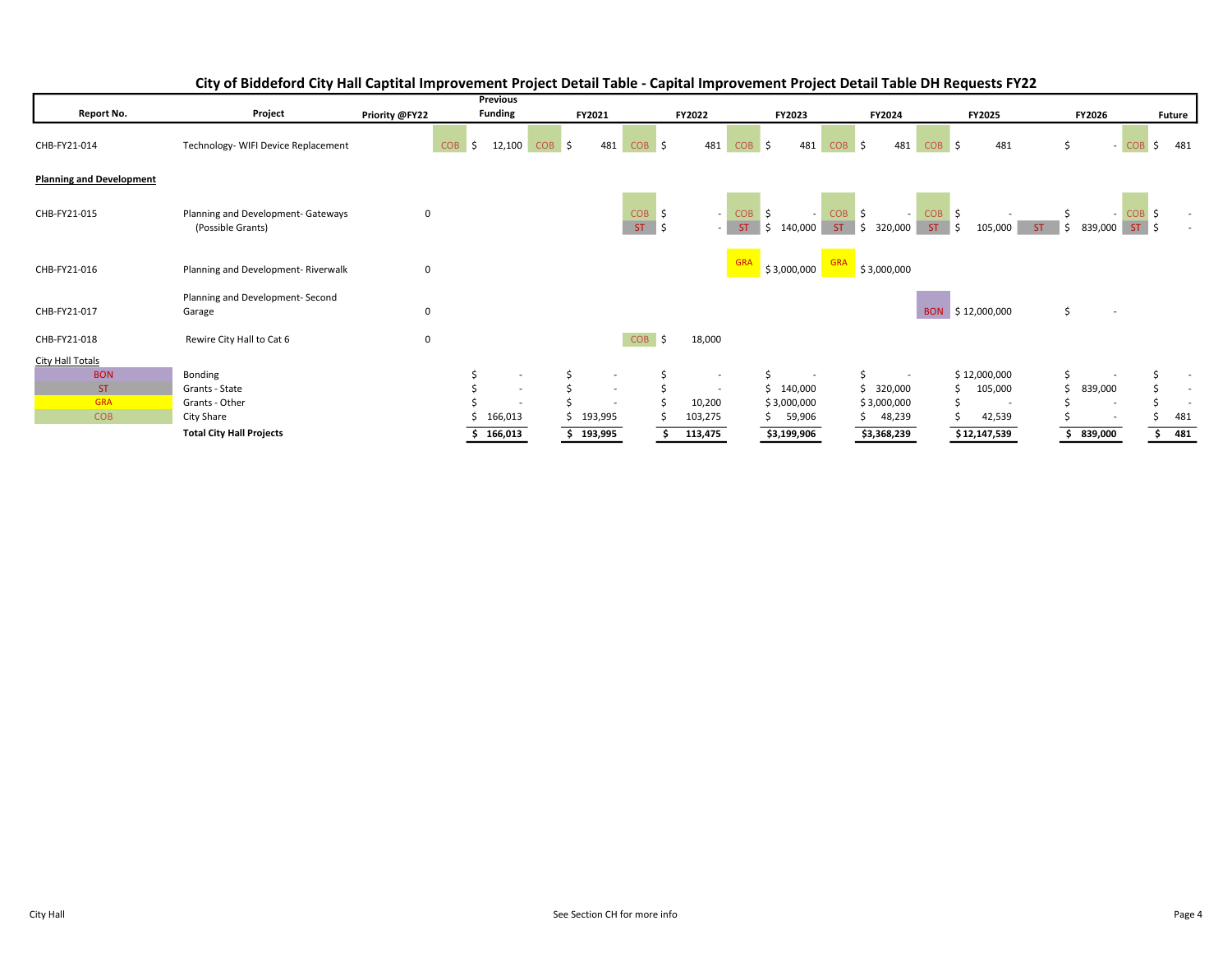|                                 |                                                         |                | Previous                  |                                |                                |                          |                                                 |                                                   |                                  |                                   |                          |
|---------------------------------|---------------------------------------------------------|----------------|---------------------------|--------------------------------|--------------------------------|--------------------------|-------------------------------------------------|---------------------------------------------------|----------------------------------|-----------------------------------|--------------------------|
| Report No.                      | Project                                                 | Priority @FY22 | <b>Funding</b>            | FY2021                         |                                | FY2022                   | FY2023                                          | FY2024                                            | FY2025                           | FY2026                            | <b>Future</b>            |
| CHB-FY21-014                    | Technology- WIFI Device Replacement                     |                | 12,100<br><b>COB</b><br>Ś | 481<br>$COB$ \$                | $COB$ \$                       | 481                      | <b>COB</b><br>481<br>S,                         | <b>COB</b><br>481<br>Ŝ.                           | 481<br><b>COB</b><br>۱s          | Ś<br>$-COB$                       | Ŝ.<br>481                |
| <b>Planning and Development</b> |                                                         |                |                           |                                |                                |                          |                                                 |                                                   |                                  |                                   |                          |
| CHB-FY21-015                    | Planning and Development- Gateways<br>(Possible Grants) | 0              |                           |                                | COB <sub>\$</sub><br>ST<br>-\$ | - 1                      | $COB$ \$<br>- 1<br>ST.<br>$\frac{1}{2}$ 140,000 | COB <sub>\$</sub><br>$\sim$ 1<br>ST.<br>\$320,000 | $COB$ \$<br>ST<br>∎ s<br>105,000 | $-COB$ \$<br>ST.<br>839,000<br>S. |                          |
| CHB-FY21-016                    | Planning and Development-Riverwalk                      | 0              |                           |                                |                                |                          | <b>GRA</b><br>\$3,000,000                       | <b>GRA</b><br>\$3,000,000                         |                                  |                                   |                          |
| CHB-FY21-017                    | Planning and Development-Second<br>Garage               | $\mathbf 0$    |                           |                                |                                |                          |                                                 |                                                   | BON \$12,000,000                 | \$<br>$\sim$                      |                          |
| CHB-FY21-018                    | Rewire City Hall to Cat 6                               | 0              |                           |                                | <b>COB</b><br>Ŝ.               | 18,000                   |                                                 |                                                   |                                  |                                   |                          |
| <b>City Hall Totals</b>         |                                                         |                |                           |                                |                                |                          |                                                 |                                                   |                                  |                                   |                          |
| <b>BON</b>                      | Bonding                                                 |                | $\overline{\phantom{a}}$  | Ś.<br>$\overline{\phantom{a}}$ |                                | $\overline{\phantom{a}}$ |                                                 |                                                   | \$12,000,000                     |                                   | $\overline{\phantom{a}}$ |
| <b>ST</b>                       | Grants - State                                          |                | $\sim$                    | $\sim$                         |                                | $\overline{\phantom{a}}$ | \$140,000                                       | 320,000                                           | 105,000                          | 839,000                           | $\sim$                   |
| <b>GRA</b>                      | Grants - Other                                          |                | $\sim$                    | $\overline{\phantom{a}}$       |                                | 10,200                   | \$3,000,000                                     | \$3,000,000                                       |                                  | $\overline{\phantom{a}}$          | $\overline{\phantom{a}}$ |
| <b>COB</b>                      | City Share                                              |                | 166,013                   | 193,995                        |                                | 103,275                  | 59,906<br>S.                                    | 48,239                                            | 42,539                           | $\overline{\phantom{a}}$          | 481                      |
|                                 | <b>Total City Hall Projects</b>                         |                | 166,013                   | 193,995                        |                                | 113,475                  | \$3,199,906                                     | \$3,368,239                                       | \$12,147,539                     | 839,000                           | 481                      |

## City of Biddeford City Hall Captital Improvement Project Detail Table - Capital Improvement Project Detail Table DH Requests FY22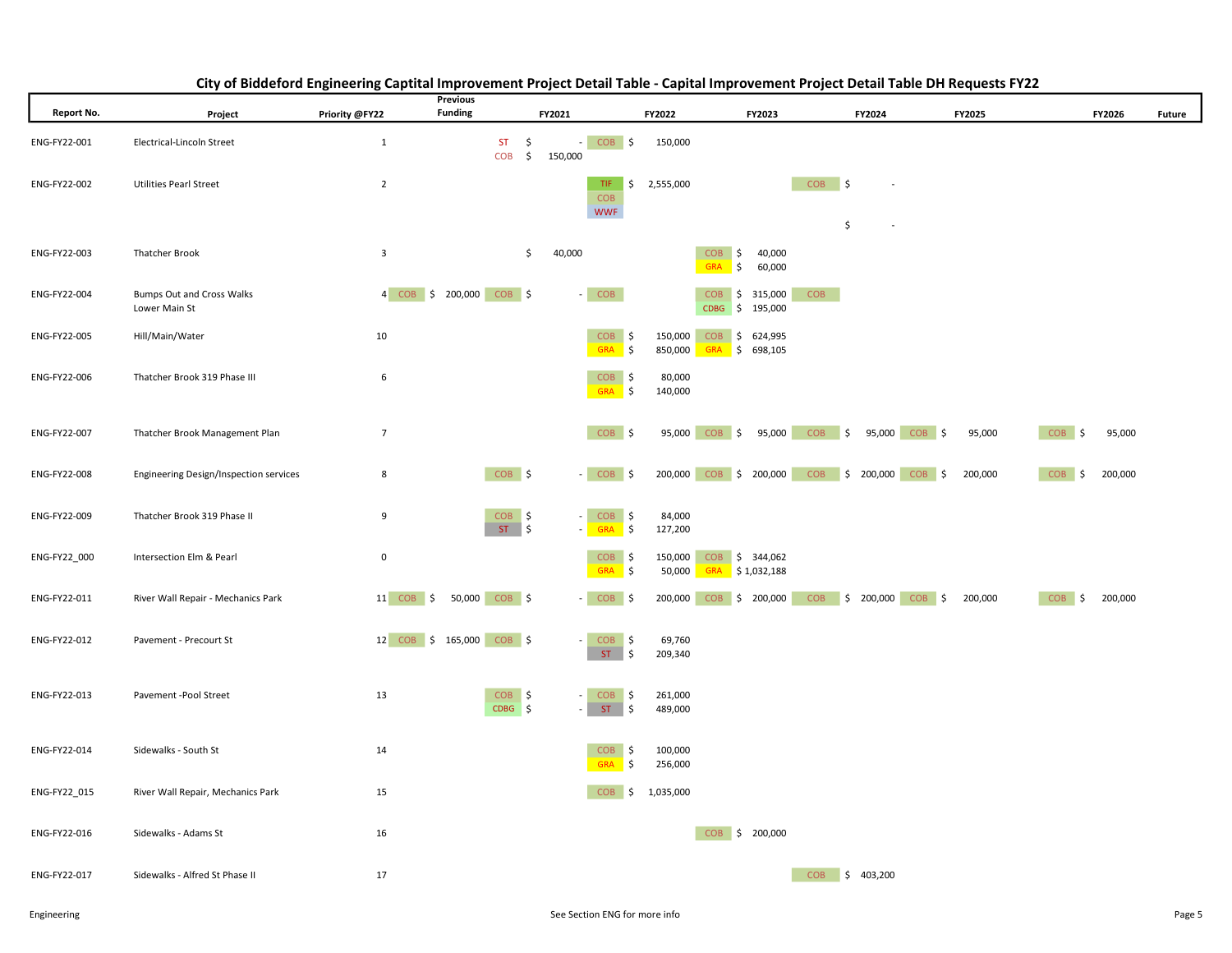|              |                                                   | Previous                         |                             |               |                                      |                    |                                            |                                              |         |                  |         |        |
|--------------|---------------------------------------------------|----------------------------------|-----------------------------|---------------|--------------------------------------|--------------------|--------------------------------------------|----------------------------------------------|---------|------------------|---------|--------|
| Report No.   | Project                                           | <b>Funding</b><br>Priority @FY22 |                             | FY2021        |                                      | FY2022             | FY2023                                     | FY2024                                       | FY2025  |                  | FY2026  | Future |
| ENG-FY22-001 | Electrical-Lincoln Street                         | $\mathbf{1}$                     | $ST \quad$<br><b>COB</b>    | 150,000<br>\$ | $-COB$ \$                            | 150,000            |                                            |                                              |         |                  |         |        |
| ENG-FY22-002 | <b>Utilities Pearl Street</b>                     | $\overline{2}$                   |                             |               | TIF.<br>COB<br><b>WWF</b>            | \$2,555,000        |                                            | $COB$ \$<br>$\overline{\phantom{a}}$<br>\$   |         |                  |         |        |
| ENG-FY22-003 | <b>Thatcher Brook</b>                             | $\overline{\mathbf{3}}$          |                             | \$<br>40,000  |                                      | <b>COB</b>         | S,<br>40,000<br>60,000<br>GRA \$           |                                              |         |                  |         |        |
| ENG-FY22-004 | <b>Bumps Out and Cross Walks</b><br>Lower Main St | 4 COB \$ 200,000 COB \$          |                             |               | $-$ COB                              |                    | <b>COB</b><br>\$315,000<br>CDBG \$ 195,000 | <b>COB</b>                                   |         |                  |         |        |
| ENG-FY22-005 | Hill/Main/Water                                   | 10                               |                             |               | $COB$ \$<br>GRA \$                   | 850,000            | 150,000 COB \$ 624,995<br>GRA \$ 698,105   |                                              |         |                  |         |        |
| ENG-FY22-006 | Thatcher Brook 319 Phase III                      | 6                                |                             |               | COB \$<br>\$<br><b>GRA</b>           | 80,000<br>140,000  |                                            |                                              |         |                  |         |        |
| ENG-FY22-007 | Thatcher Brook Management Plan                    | $\overline{7}$                   |                             |               | COB <sub>S</sub>                     |                    |                                            | 95,000 COB \$ 95,000 COB \$ 95,000 COB \$    | 95,000  | COB <sub>S</sub> | 95,000  |        |
| ENG-FY22-008 | Engineering Design/Inspection services            | 8                                | COB \$                      |               | $-$ COB \$                           |                    |                                            | 200,000 COB \$ 200,000 COB \$ 200,000 COB \$ | 200,000 | COB \$           | 200,000 |        |
| ENG-FY22-009 | Thatcher Brook 319 Phase II                       | 9                                | $COB$ \$<br>$ST \mid \zeta$ |               | $-$ COB \$<br>- GRA \$               | 84,000<br>127,200  |                                            |                                              |         |                  |         |        |
| ENG-FY22_000 | Intersection Elm & Pearl                          | 0                                |                             |               | COB \$<br>GRA \$                     | 150,000<br>50,000  | COB \$ 344,062<br>$GRA$ \$ 1,032,188       |                                              |         |                  |         |        |
| ENG-FY22-011 | River Wall Repair - Mechanics Park                | $11$ COB $\frac{1}{2}$           | 50,000 COB \$               |               | $-$ COB \$                           |                    | 200,000 COB \$ 200,000                     | COB \$ 200,000 COB \$                        | 200,000 | COB \$           | 200,000 |        |
| ENG-FY22-012 | Pavement - Precourt St                            | 12 COB \$ 165,000 COB \$         |                             | $\sim$        | $COB$ \$<br>$ST \mid \zeta$          | 69,760<br>209,340  |                                            |                                              |         |                  |         |        |
| ENG-FY22-013 | Pavement -Pool Street                             | 13                               | $COB$ \$<br>$CDBG$ \$       | $\sim$        | <b>COB</b><br>∣\$<br>ST<br>\$        | 261,000<br>489,000 |                                            |                                              |         |                  |         |        |
| ENG-FY22-014 | Sidewalks - South St                              | 14                               |                             |               | \$<br><b>COB</b><br><b>GRA</b><br>\$ | 100,000<br>256,000 |                                            |                                              |         |                  |         |        |
| ENG-FY22_015 | River Wall Repair, Mechanics Park                 | 15                               |                             |               | $COB$ \$ 1,035,000                   |                    |                                            |                                              |         |                  |         |        |
| ENG-FY22-016 | Sidewalks - Adams St                              | 16                               |                             |               |                                      |                    | COB \$ 200,000                             |                                              |         |                  |         |        |
| ENG-FY22-017 | Sidewalks - Alfred St Phase II                    | 17                               |                             |               |                                      |                    |                                            | COB \$ 403,200                               |         |                  |         |        |

## City of Biddeford Engineering Captital Improvement Project Detail Table - Capital Improvement Project Detail Table DH Requests FY22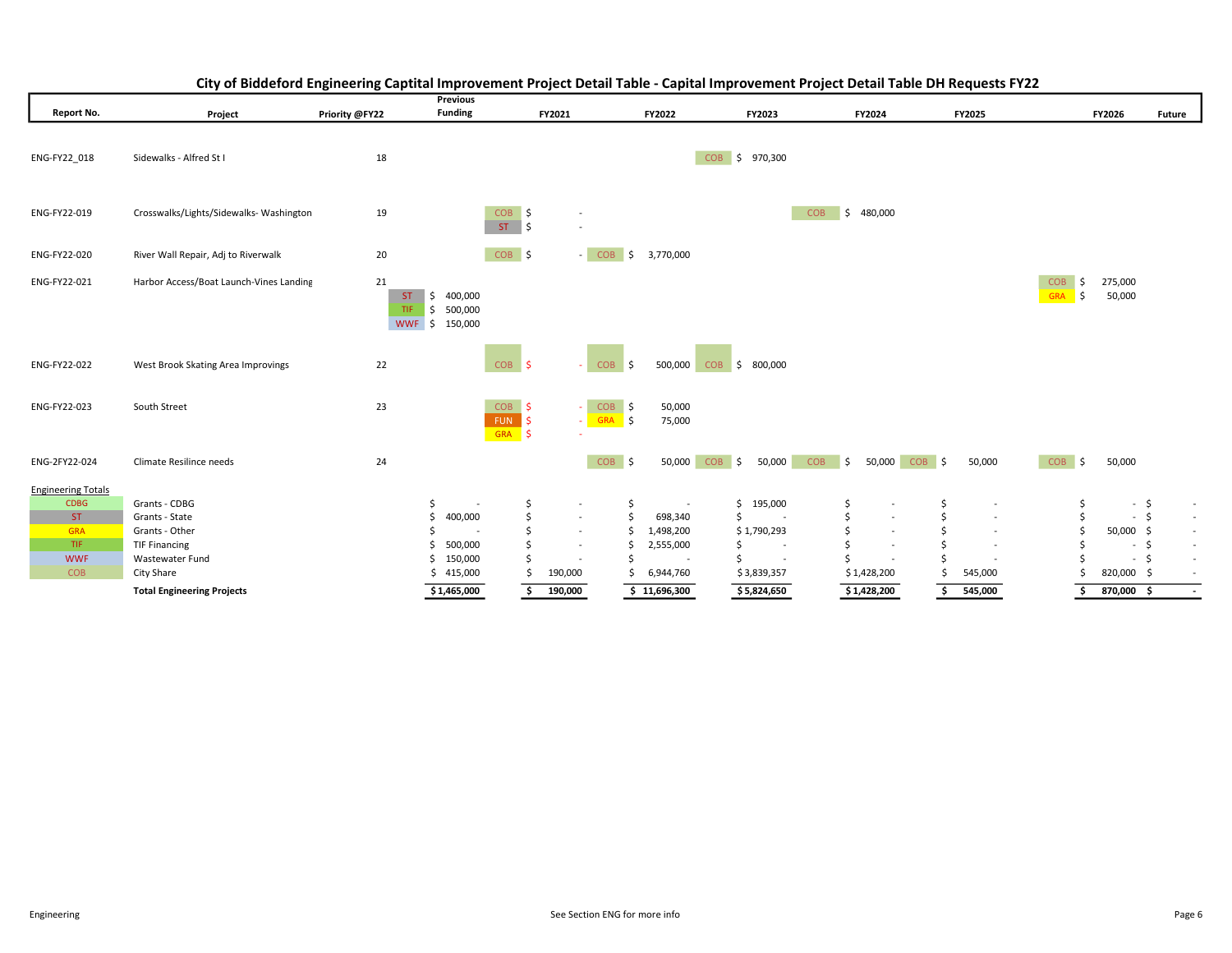|                           |                                         |                   | <b>Previous</b>                                      |                                      |                                    |                          |                                         |                                                    |                                                      |                                               |                     |                  |
|---------------------------|-----------------------------------------|-------------------|------------------------------------------------------|--------------------------------------|------------------------------------|--------------------------|-----------------------------------------|----------------------------------------------------|------------------------------------------------------|-----------------------------------------------|---------------------|------------------|
| Report No.                | Project                                 | Priority @FY22    | <b>Funding</b>                                       | FY2021                               |                                    | FY2022                   | FY2023                                  | FY2024                                             | FY2025                                               |                                               | FY2026              | <b>Future</b>    |
| ENG-FY22 018              | Sidewalks - Alfred St I                 | 18                |                                                      |                                      |                                    |                          | COB \$ 970,300                          |                                                    |                                                      |                                               |                     |                  |
| ENG-FY22-019              | Crosswalks/Lights/Sidewalks-Washington  | 19                |                                                      | $COB$ \$<br>$ST \quad$               | $\overline{\phantom{a}}$           |                          |                                         | \$480,000<br><b>COB</b>                            |                                                      |                                               |                     |                  |
| ENG-FY22-020              | River Wall Repair, Adj to Riverwalk     | 20                |                                                      | COB \$                               | $-$ COB $\sqrt{5}$                 | 3,770,000                |                                         |                                                    |                                                      |                                               |                     |                  |
| ENG-FY22-021              | Harbor Access/Boat Launch-Vines Landing | 21<br>ST.<br>TIF. | $\frac{1}{2}$ 400,000<br>\$500,000<br>WWF \$ 150,000 |                                      |                                    |                          |                                         |                                                    |                                                      | <b>COB</b><br>$\vert$ \$<br><b>GRA</b><br>I\$ | 275,000<br>50,000   |                  |
| ENG-FY22-022              | West Brook Skating Area Improvings      | 22                |                                                      | $COB$ \$                             | $COB$ \$                           | 500,000                  | COB <sub>\$</sub><br>800,000            |                                                    |                                                      |                                               |                     |                  |
| ENG-FY22-023              | South Street                            | 23                |                                                      | COB <sub>S</sub><br>FUN \$<br>GRA \$ | $COB$ \$<br>÷.<br>$-$ GRA $\zeta$  | 50,000<br>75,000         |                                         |                                                    |                                                      |                                               |                     |                  |
| ENG-2FY22-024             | Climate Resilince needs                 | 24                |                                                      |                                      | COB \$                             |                          | 50,000 COB \$<br>50,000                 | <b>COB</b><br>$\ddot{\mathsf{S}}$<br>50,000 COB \$ | 50,000                                               | COB <sub>\$</sub>                             | 50,000              |                  |
| <b>Engineering Totals</b> |                                         |                   |                                                      |                                      |                                    |                          |                                         |                                                    |                                                      |                                               |                     |                  |
| <b>CDBG</b>               | Grants - CDBG                           |                   | \$.                                                  | \$                                   | $\sim$                             | \$                       | \$<br>195,000                           | \$<br>$\overline{\phantom{a}}$                     | \$                                                   | \$                                            | $-5$                | $\sim$           |
| <b>ST</b><br><b>GRA</b>   | Grants - State                          |                   | 400,000<br>\$                                        | \$<br>\$                             | $\sim$<br>Ś                        | \$<br>698,340            | Ś<br>$\sim$                             | \$<br>$\overline{\phantom{a}}$<br>$\sim$           | \$<br>$\overline{\phantom{a}}$                       | \$<br>Ś                                       | $-5$                | $\sim$           |
| TIF.                      | Grants - Other<br><b>TIF Financing</b>  |                   | 500,000                                              | Ś                                    | $\sim$<br>$\overline{\phantom{a}}$ | 1,498,200<br>2,555,000   | \$1,790,293<br>$\overline{\phantom{a}}$ | \$<br>S<br>$\overline{\phantom{a}}$                | $\overline{\phantom{a}}$<br>$\overline{\phantom{a}}$ |                                               | 50,000 \$<br>$\sim$ | $\sim$<br>$\sim$ |
| <b>WWF</b>                | Wastewater Fund                         |                   | 150,000                                              | Ś                                    |                                    | $\overline{\phantom{a}}$ |                                         | $\overline{\phantom{a}}$                           |                                                      |                                               | $\sim$              | S<br>$\sim$      |
| <b>COB</b>                | City Share                              |                   | 415,000<br>S                                         | 190,000                              |                                    | 6,944,760                | \$3,839,357                             | \$1,428,200                                        | 545,000                                              |                                               | 820,000 \$          |                  |
|                           | <b>Total Engineering Projects</b>       |                   | \$1,465,000                                          | 190,000<br>Ś.                        |                                    | \$11,696,300             | \$5,824,650                             | \$1,428,200                                        | 545,000<br>\$                                        | \$.                                           | 870,000 \$          |                  |

## City of Biddeford Engineering Captital Improvement Project Detail Table - Capital Improvement Project Detail Table DH Requests FY22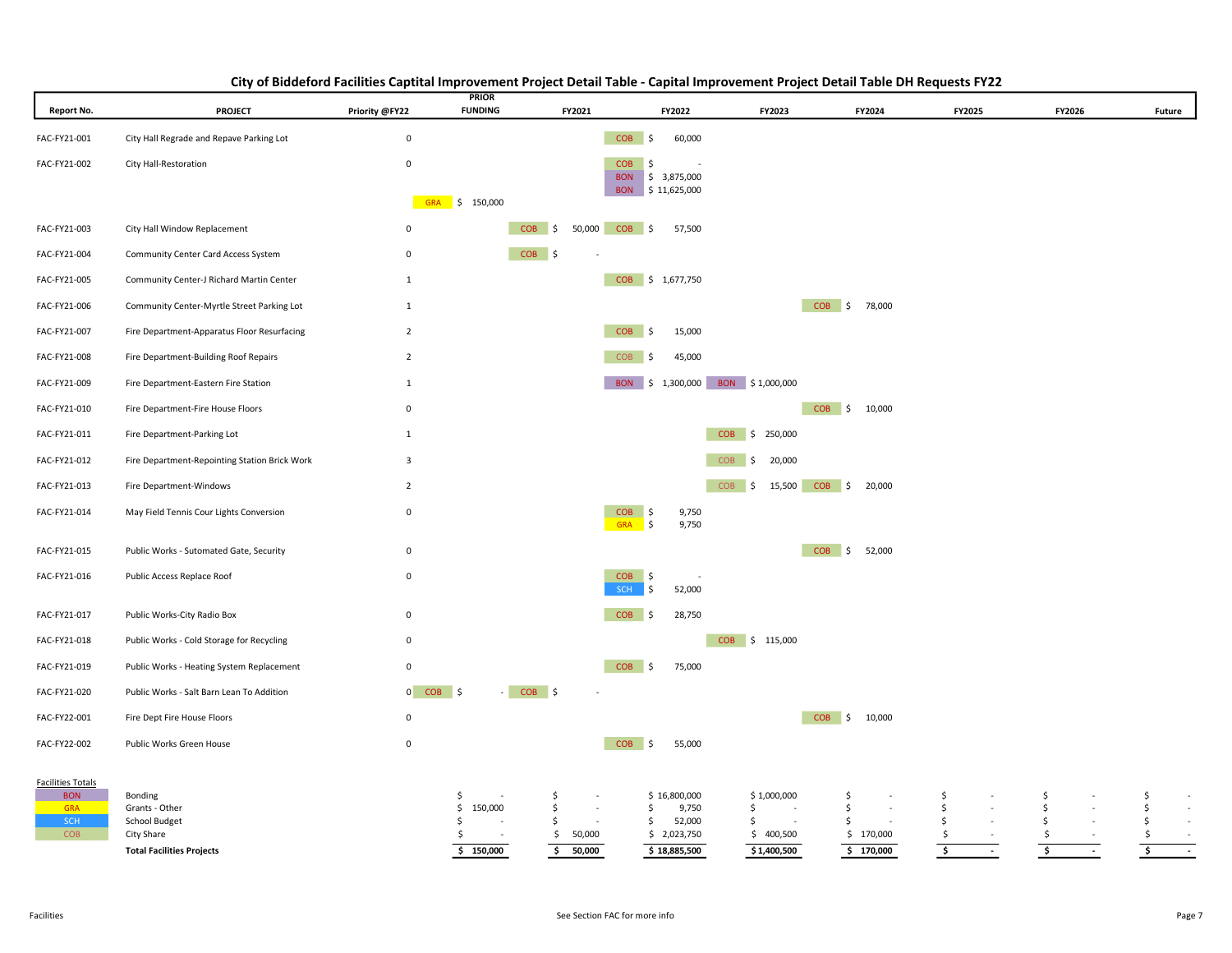| <b>Report No.</b>                                                  | <b>PROJECT</b>                                                                               | Priority @FY22          | <b>PRIOR</b><br><b>FUNDING</b>               | FY2021                                                             | FY2022                                                                     | FY2023                                                         | FY2024                                   | FY2025                                                                 | FY2026                                                      | Future                                                                      |
|--------------------------------------------------------------------|----------------------------------------------------------------------------------------------|-------------------------|----------------------------------------------|--------------------------------------------------------------------|----------------------------------------------------------------------------|----------------------------------------------------------------|------------------------------------------|------------------------------------------------------------------------|-------------------------------------------------------------|-----------------------------------------------------------------------------|
| FAC-FY21-001                                                       | City Hall Regrade and Repave Parking Lot                                                     | $\mathbf 0$             |                                              |                                                                    | $COB$ \$<br>60,000                                                         |                                                                |                                          |                                                                        |                                                             |                                                                             |
| FAC-FY21-002                                                       | City Hall-Restoration                                                                        | $\mathsf 0$             |                                              |                                                                    | <b>COB</b><br>\$<br><b>BON</b><br>\$3,875,000<br>BON \$11,625,000          |                                                                |                                          |                                                                        |                                                             |                                                                             |
|                                                                    |                                                                                              |                         | GRA \$ 150,000                               |                                                                    |                                                                            |                                                                |                                          |                                                                        |                                                             |                                                                             |
| FAC-FY21-003                                                       | City Hall Window Replacement                                                                 | $\mathsf 0$             |                                              | 50,000<br>$COB$ \$                                                 | 57,500<br>$COB$ \$                                                         |                                                                |                                          |                                                                        |                                                             |                                                                             |
| FAC-FY21-004                                                       | Community Center Card Access System                                                          | $\mathsf 0$             |                                              | $COB$ \$                                                           |                                                                            |                                                                |                                          |                                                                        |                                                             |                                                                             |
| FAC-FY21-005                                                       | Community Center-J Richard Martin Center                                                     | $\mathbf{1}$            |                                              |                                                                    | COB \$ 1,677,750                                                           |                                                                |                                          |                                                                        |                                                             |                                                                             |
| FAC-FY21-006                                                       | Community Center-Myrtle Street Parking Lot                                                   | $\mathbf{1}$            |                                              |                                                                    |                                                                            |                                                                | COB \$ 78,000                            |                                                                        |                                                             |                                                                             |
| FAC-FY21-007                                                       | Fire Department-Apparatus Floor Resurfacing                                                  | $\overline{2}$          |                                              |                                                                    | $COB$ \$<br>15,000                                                         |                                                                |                                          |                                                                        |                                                             |                                                                             |
| FAC-FY21-008                                                       | Fire Department-Building Roof Repairs                                                        | $\overline{2}$          |                                              |                                                                    | <b>COB</b><br>45,000<br>l \$                                               |                                                                |                                          |                                                                        |                                                             |                                                                             |
| FAC-FY21-009                                                       | Fire Department-Eastern Fire Station                                                         | $\mathbf{1}$            |                                              |                                                                    | BON \$ 1,300,000 BON \$1,000,000                                           |                                                                |                                          |                                                                        |                                                             |                                                                             |
| FAC-FY21-010                                                       | Fire Department-Fire House Floors                                                            | $\mathsf 0$             |                                              |                                                                    |                                                                            |                                                                | COB \$ 10,000                            |                                                                        |                                                             |                                                                             |
| FAC-FY21-011                                                       | Fire Department-Parking Lot                                                                  | $\mathbf{1}$            |                                              |                                                                    |                                                                            | COB \$ 250,000                                                 |                                          |                                                                        |                                                             |                                                                             |
| FAC-FY21-012                                                       | Fire Department-Repointing Station Brick Work                                                | $\overline{\mathbf{3}}$ |                                              |                                                                    | <b>COB</b>                                                                 | 20,000<br>\$                                                   |                                          |                                                                        |                                                             |                                                                             |
| FAC-FY21-013                                                       | Fire Department-Windows                                                                      | $\overline{2}$          |                                              |                                                                    |                                                                            | COB <sub>\$</sub><br>15,500                                    | COB \$ 20,000                            |                                                                        |                                                             |                                                                             |
| FAC-FY21-014                                                       | May Field Tennis Cour Lights Conversion                                                      | $\mathsf 0$             |                                              |                                                                    | 9,750<br>$COB$ \$<br>GRA \$<br>9,750                                       |                                                                |                                          |                                                                        |                                                             |                                                                             |
| FAC-FY21-015                                                       | Public Works - Sutomated Gate, Security                                                      | $\mathbf 0$             |                                              |                                                                    |                                                                            |                                                                | COB \$ 52,000                            |                                                                        |                                                             |                                                                             |
| FAC-FY21-016                                                       | Public Access Replace Roof                                                                   | $\mathsf 0$             |                                              |                                                                    | <b>COB</b><br>∣\$<br>SCH<br>52,000<br>S,                                   |                                                                |                                          |                                                                        |                                                             |                                                                             |
| FAC-FY21-017                                                       | Public Works-City Radio Box                                                                  | $\mathsf 0$             |                                              |                                                                    | $COB$ \$<br>28,750                                                         |                                                                |                                          |                                                                        |                                                             |                                                                             |
| FAC-FY21-018                                                       | Public Works - Cold Storage for Recycling                                                    | 0                       |                                              |                                                                    |                                                                            | COB \$ 115,000                                                 |                                          |                                                                        |                                                             |                                                                             |
| FAC-FY21-019                                                       | Public Works - Heating System Replacement                                                    | 0                       |                                              |                                                                    | <b>COB</b><br>75,000<br>l \$                                               |                                                                |                                          |                                                                        |                                                             |                                                                             |
| FAC-FY21-020                                                       | Public Works - Salt Barn Lean To Addition                                                    | $0$ $COB$ $\frac{2}{3}$ | - 1                                          | $COB$ \$                                                           |                                                                            |                                                                |                                          |                                                                        |                                                             |                                                                             |
| FAC-FY22-001                                                       | Fire Dept Fire House Floors                                                                  | $\mathsf 0$             |                                              |                                                                    |                                                                            |                                                                | COB \$ 10,000                            |                                                                        |                                                             |                                                                             |
| FAC-FY22-002                                                       | Public Works Green House                                                                     | $\mathsf 0$             |                                              |                                                                    | $COB$ \$<br>55,000                                                         |                                                                |                                          |                                                                        |                                                             |                                                                             |
| <b>Facilities Totals</b><br><b>BON</b><br><b>GRA</b><br>SCH<br>COB | Bonding<br>Grants - Other<br>School Budget<br>City Share<br><b>Total Facilities Projects</b> |                         | \$.<br>150,000<br>\$<br>S<br>\$<br>\$150,000 | \$<br>$\sim$<br>\$<br>$\sim$<br>\$<br>50,000<br>\$<br>50,000<br>\$ | \$16,800,000<br>9,750<br>\$<br>52,000<br>\$<br>\$2,023,750<br>\$18,885,500 | \$1,000,000<br>\$<br>$\sim$<br>\$.<br>\$400,500<br>\$1,400,500 | \$<br>\$<br>Ŝ.<br>\$170,000<br>\$170,000 | \$<br>\$<br>\$<br>\$<br>$\overline{\boldsymbol{\mathsf{s}}}$<br>$\sim$ | Ŝ.<br>\$.<br>Ŝ.<br>\$<br>$\overline{\phantom{a}}$<br>$\sim$ | \$<br>$\sim$<br>\$<br>$\sim$<br>\$<br>$\sim$<br>\$<br>$\sim$<br>5<br>$\sim$ |

## City of Biddeford Facilities Captital Improvement Project Detail Table - Capital Improvement Project Detail Table DH Requests FY22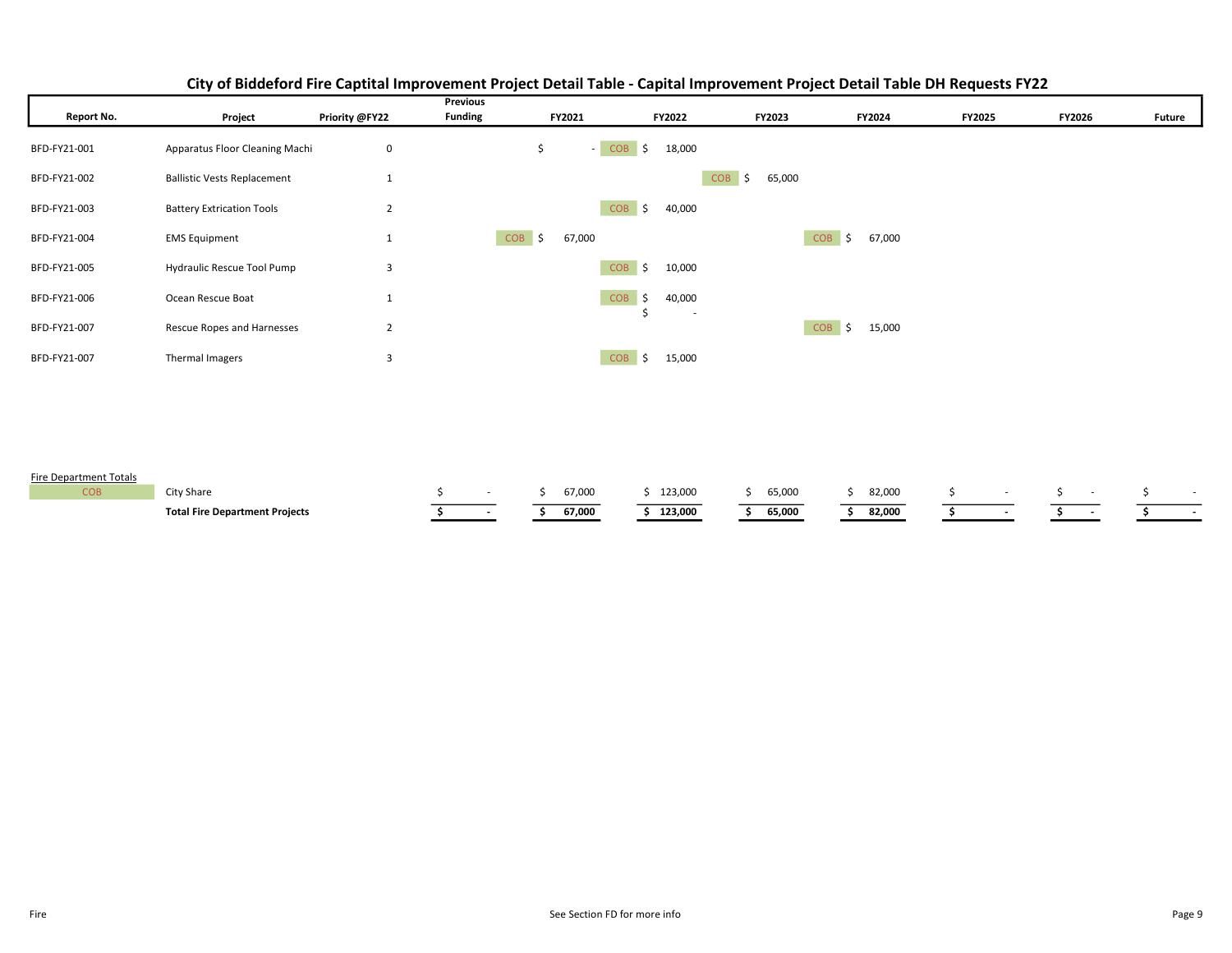|              |                                    |                | <b>Previous</b> |              |                                      |                            |                            |               |               |               |
|--------------|------------------------------------|----------------|-----------------|--------------|--------------------------------------|----------------------------|----------------------------|---------------|---------------|---------------|
| Report No.   | Project                            | Priority @FY22 | <b>Funding</b>  | FY2021       | FY2022                               | <b>FY2023</b>              | FY2024                     | <b>FY2025</b> | <b>FY2026</b> | <b>Future</b> |
| BFD-FY21-001 | Apparatus Floor Cleaning Machi     | 0              |                 | $-COB$<br>\$ | $\mathsf{S}$<br>18,000               |                            |                            |               |               |               |
| BFD-FY21-002 | <b>Ballistic Vests Replacement</b> |                |                 |              |                                      | <b>COB</b><br>65,000<br>\$ |                            |               |               |               |
| BFD-FY21-003 | <b>Battery Extrication Tools</b>   | $\overline{2}$ |                 |              | $COB$ \$<br>40,000                   |                            |                            |               |               |               |
| BFD-FY21-004 | <b>EMS Equipment</b>               |                | <b>COB</b>      | 67,000<br>\$ |                                      |                            | <b>COB</b><br>67,000<br>Ŝ. |               |               |               |
| BFD-FY21-005 | Hydraulic Rescue Tool Pump         | 3              |                 |              | $COB$ \$<br>10,000                   |                            |                            |               |               |               |
| BFD-FY21-006 | Ocean Rescue Boat                  | Ŧ              |                 |              | <b>COB</b><br>$\mathsf{S}$<br>40,000 |                            |                            |               |               |               |
| BFD-FY21-007 | Rescue Ropes and Harnesses         | $\overline{2}$ |                 |              | $\sim$                               |                            | <b>COB</b><br>15,000<br>Ŝ. |               |               |               |
| BFD-FY21-007 | Thermal Imagers                    | 3              |                 |              | $COB$ \$<br>15,000                   |                            |                            |               |               |               |

## City of Biddeford Fire Captital Improvement Project Detail Table - Capital Improvement Project Detail Table DH Requests FY22

#### Fire Department Totals

| COB | City Share                            |  | 67,000 | 123,000 | 65,000 | 82,000 |  |  |
|-----|---------------------------------------|--|--------|---------|--------|--------|--|--|
|     | <b>Total Fire Department Projects</b> |  | 67,000 | 123,000 | 65,000 | 82,000 |  |  |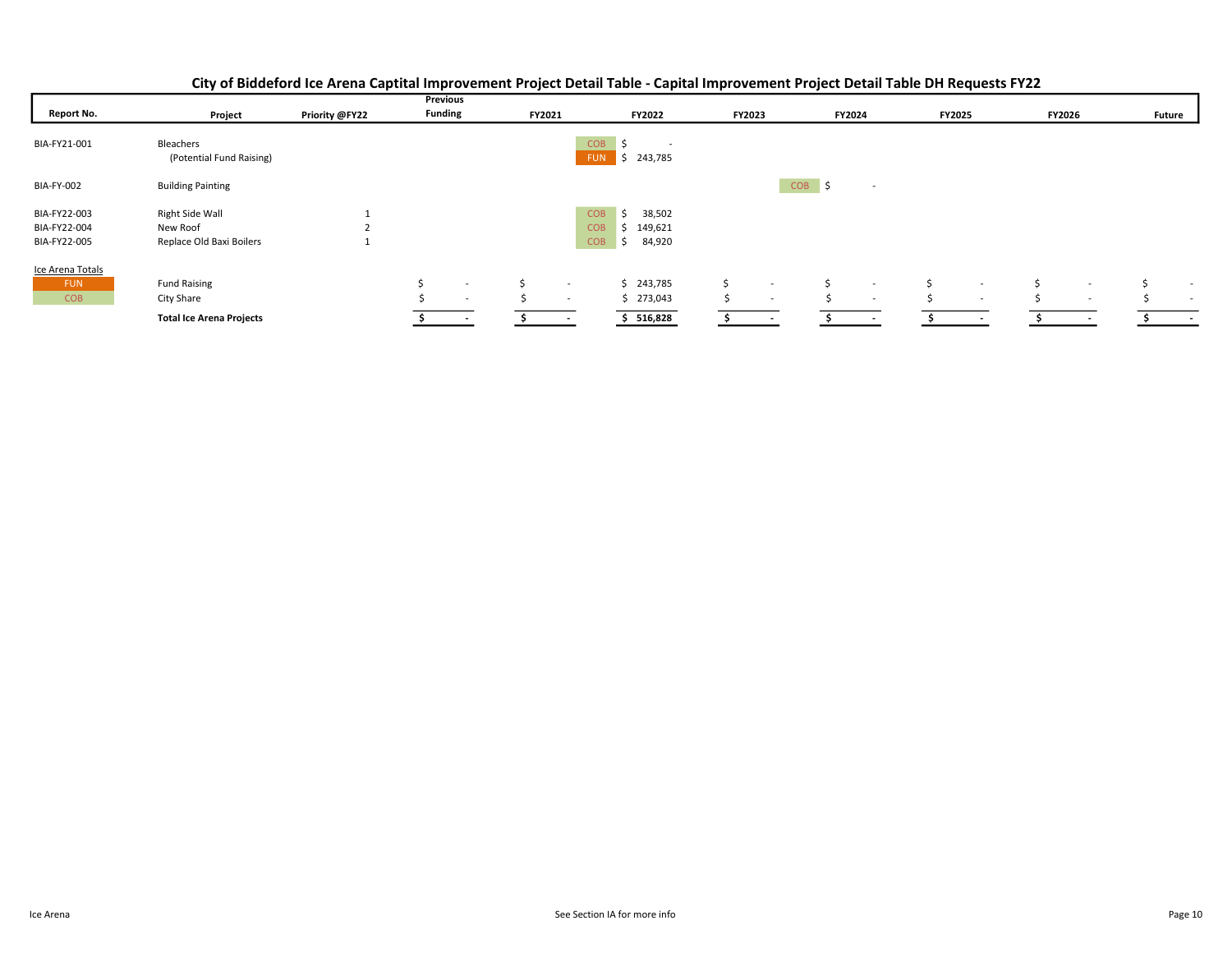|  | City of Biddeford Ice Arena Captital Improvement Project Detail Table - Capital Improvement Project Detail Table DH Requests FY22 |
|--|-----------------------------------------------------------------------------------------------------------------------------------|
|  |                                                                                                                                   |

|                                              |                                                         |                |                | Previous                           |        |                          |                                                                             |         |                                    |          |                  |        |                  |        |                          |               |                  |
|----------------------------------------------|---------------------------------------------------------|----------------|----------------|------------------------------------|--------|--------------------------|-----------------------------------------------------------------------------|---------|------------------------------------|----------|------------------|--------|------------------|--------|--------------------------|---------------|------------------|
| <b>Report No.</b>                            | Project                                                 | Priority @FY22 | <b>Funding</b> |                                    | FY2021 |                          | <b>FY2022</b>                                                               | FY2023  |                                    | FY2024   |                  | FY2025 |                  | FY2026 |                          | <b>Future</b> |                  |
| BIA-FY21-001                                 | Bleachers<br>(Potential Fund Raising)                   |                |                |                                    |        | <b>FUN</b>               | <b>COB</b><br>$\overline{\phantom{a}}$<br>243,785                           |         |                                    |          |                  |        |                  |        |                          |               |                  |
| <b>BIA-FY-002</b>                            | <b>Building Painting</b>                                |                |                |                                    |        |                          |                                                                             |         |                                    | $COB$ \$ | $\sim$           |        |                  |        |                          |               |                  |
| BIA-FY22-003<br>BIA-FY22-004<br>BIA-FY22-005 | Right Side Wall<br>New Roof<br>Replace Old Baxi Boilers |                |                |                                    |        |                          | <b>COB</b><br>38,502<br>Ŝ.<br><b>COB</b><br>149,621<br><b>COB</b><br>84,920 |         |                                    |          |                  |        |                  |        |                          |               |                  |
| Ice Arena Totals<br><b>FUN</b><br><b>COB</b> | <b>Fund Raising</b><br>City Share                       |                |                | $\overline{\phantom{a}}$<br>$\sim$ |        | $\sim$<br>$\sim$         | \$243,785<br>\$273,043                                                      | Ŝ<br>Ś. | $\sim$<br>$\overline{\phantom{a}}$ |          | $\sim$<br>$\sim$ |        | $\sim$<br>$\sim$ |        | $\sim$<br>$\sim$         |               | $\sim$<br>$\sim$ |
|                                              | <b>Total Ice Arena Projects</b>                         |                |                | <b>Contractor</b>                  |        | $\overline{\phantom{a}}$ | 516,828                                                                     |         |                                    |          |                  |        |                  |        | $\overline{\phantom{a}}$ |               | $\sim$           |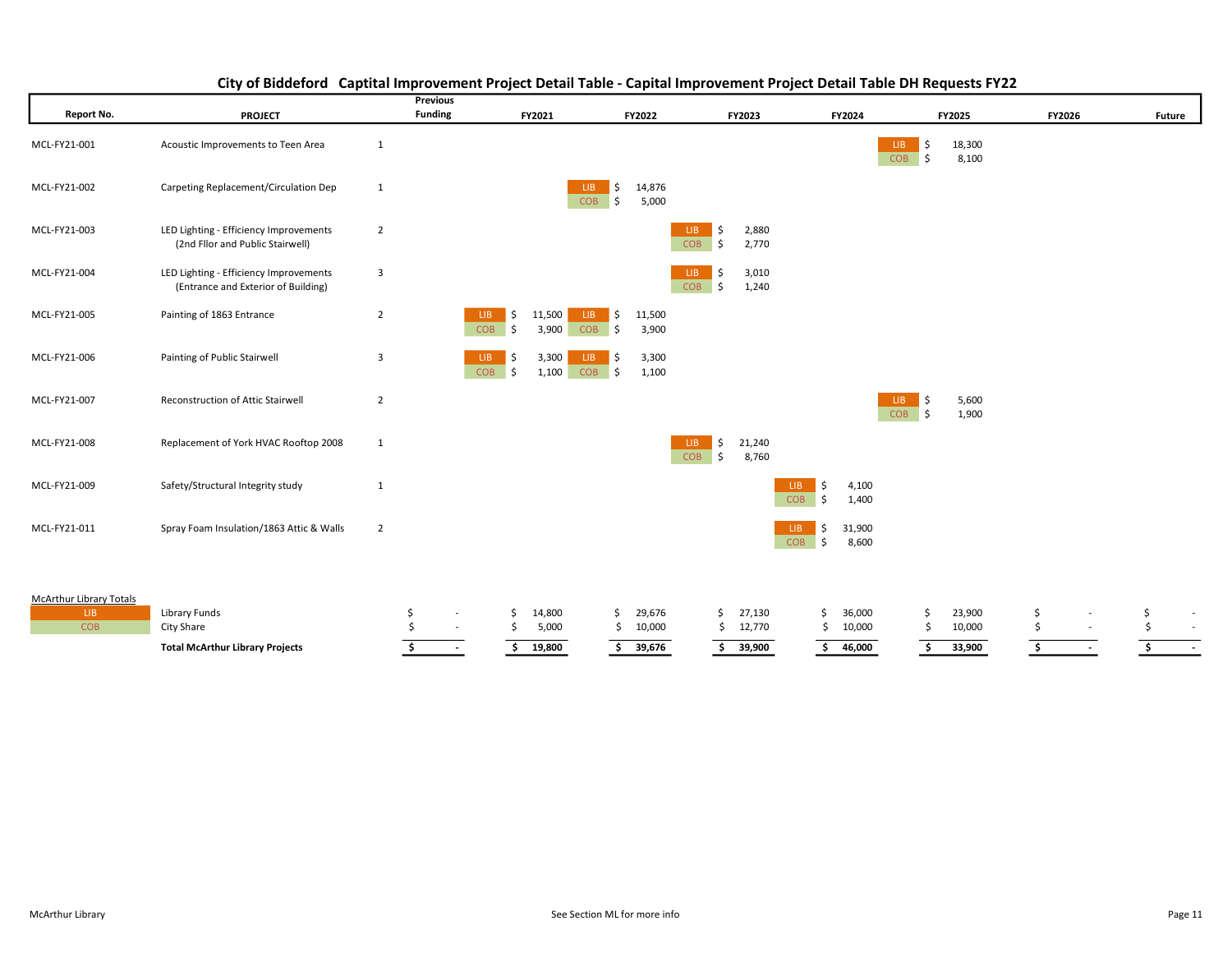| Report No.                     | <b>PROJECT</b>                                                                |                | Previous<br><b>Funding</b> |                                                      | FY2021          |                                                 | FY2022          |                                | FY2023          |                    |           | FY2024         |                                    | FY2025         | <b>FY2026</b> |                          |    | <b>Future</b> |
|--------------------------------|-------------------------------------------------------------------------------|----------------|----------------------------|------------------------------------------------------|-----------------|-------------------------------------------------|-----------------|--------------------------------|-----------------|--------------------|-----------|----------------|------------------------------------|----------------|---------------|--------------------------|----|---------------|
|                                |                                                                               |                |                            |                                                      |                 |                                                 |                 |                                |                 |                    |           |                |                                    |                |               |                          |    |               |
| MCL-FY21-001                   | Acoustic Improvements to Teen Area                                            | $\mathbf{1}$   |                            |                                                      |                 |                                                 |                 |                                |                 |                    |           |                | LIB.<br>\$                         | 18,300         |               |                          |    |               |
|                                |                                                                               |                |                            |                                                      |                 |                                                 |                 |                                |                 |                    |           |                | $\overline{\bullet}$<br><b>COB</b> | 8,100          |               |                          |    |               |
| MCL-FY21-002                   | Carpeting Replacement/Circulation Dep                                         | $\mathbf{1}$   |                            |                                                      |                 | $\ddot{\mathsf{S}}$<br>LIB.<br>\$<br><b>COB</b> | 14,876          |                                |                 |                    |           |                |                                    |                |               |                          |    |               |
|                                |                                                                               |                |                            |                                                      |                 |                                                 | 5,000           |                                |                 |                    |           |                |                                    |                |               |                          |    |               |
| MCL-FY21-003                   | LED Lighting - Efficiency Improvements<br>(2nd Fllor and Public Stairwell)    | $\overline{2}$ |                            |                                                      |                 |                                                 |                 | LIB<br>\$<br><b>COB</b><br>Ŝ.  | 2,880<br>2,770  |                    |           |                |                                    |                |               |                          |    |               |
|                                |                                                                               |                |                            |                                                      |                 |                                                 |                 |                                |                 |                    |           |                |                                    |                |               |                          |    |               |
| MCL-FY21-004                   | LED Lighting - Efficiency Improvements<br>(Entrance and Exterior of Building) | 3              |                            |                                                      |                 |                                                 |                 | LIB.<br>\$<br>\$<br><b>COB</b> | 3,010<br>1,240  |                    |           |                |                                    |                |               |                          |    |               |
|                                |                                                                               |                |                            |                                                      |                 |                                                 |                 |                                |                 |                    |           |                |                                    |                |               |                          |    |               |
| MCL-FY21-005                   | Painting of 1863 Entrance                                                     | $\overline{2}$ |                            | LIB.<br>\$<br><b>COB</b><br>$\vert$ \$               | 11,500<br>3,900 | $\vert$ \$<br>LIB.<br>$COB$ \$                  | 11,500<br>3,900 |                                |                 |                    |           |                |                                    |                |               |                          |    |               |
|                                |                                                                               |                |                            |                                                      |                 |                                                 |                 |                                |                 |                    |           |                |                                    |                |               |                          |    |               |
| MCL-FY21-006                   | Painting of Public Stairwell                                                  | 3              |                            | LIB.<br>\$<br><b>COB</b><br>$\overline{\phantom{a}}$ | 3,300<br>1,100  | ∣ \$<br>LIB.<br>$COB$ \$                        | 3,300<br>1,100  |                                |                 |                    |           |                |                                    |                |               |                          |    |               |
|                                |                                                                               |                |                            |                                                      |                 |                                                 |                 |                                |                 |                    |           |                |                                    |                |               |                          |    |               |
| MCL-FY21-007                   | Reconstruction of Attic Stairwell                                             | $\overline{2}$ |                            |                                                      |                 |                                                 |                 |                                |                 |                    |           |                | \$<br>LIB.<br>l \$<br><b>COB</b>   | 5,600<br>1,900 |               |                          |    |               |
|                                |                                                                               |                |                            |                                                      |                 |                                                 |                 |                                |                 |                    |           |                |                                    |                |               |                          |    |               |
| MCL-FY21-008                   | Replacement of York HVAC Rooftop 2008                                         | $\mathbf{1}$   |                            |                                                      |                 |                                                 |                 | \$<br>LIB-<br><b>COB</b><br>\$ | 21,240<br>8,760 |                    |           |                |                                    |                |               |                          |    |               |
|                                |                                                                               |                |                            |                                                      |                 |                                                 |                 |                                |                 |                    |           |                |                                    |                |               |                          |    |               |
| MCL-FY21-009                   | Safety/Structural Integrity study                                             | $\mathbf{1}$   |                            |                                                      |                 |                                                 |                 |                                |                 | LIB.<br><b>COB</b> | -\$<br>\$ | 4,100<br>1,400 |                                    |                |               |                          |    |               |
| MCL-FY21-011                   | Spray Foam Insulation/1863 Attic & Walls                                      | $\overline{2}$ |                            |                                                      |                 |                                                 |                 |                                |                 | LIB.               |           | 31,900         |                                    |                |               |                          |    |               |
|                                |                                                                               |                |                            |                                                      |                 |                                                 |                 |                                |                 | <b>COB</b>         | \$<br>۱\$ | 8,600          |                                    |                |               |                          |    |               |
|                                |                                                                               |                |                            |                                                      |                 |                                                 |                 |                                |                 |                    |           |                |                                    |                |               |                          |    |               |
|                                |                                                                               |                |                            |                                                      |                 |                                                 |                 |                                |                 |                    |           |                |                                    |                |               |                          |    |               |
| McArthur Library Totals<br>LIB | Library Funds                                                                 | \$             |                            | \$                                                   | 14,800          | \$                                              | 29,676          | \$                             | 27,130          |                    | \$        | 36,000         | \$                                 | 23,900         | \$            |                          | \$ | $\sim$        |
| <b>COB</b>                     | City Share                                                                    |                |                            | \$                                                   | 5,000           | \$                                              | 10,000          |                                | \$12,770        |                    | \$        | 10,000         | \$                                 | 10,000         | \$            | $\sim$                   |    | $\sim$        |
|                                | <b>Total McArthur Library Projects</b>                                        |                | $\sim$                     | \$                                                   | 19,800          | \$                                              | 39,676          | \$                             | 39,900          |                    | \$        | 46,000         | \$                                 | 33,900         | \$            | $\overline{\phantom{a}}$ | Ŝ. | $\sim$        |
|                                |                                                                               |                |                            |                                                      |                 |                                                 |                 |                                |                 |                    |           |                |                                    |                |               |                          |    |               |

## City of Biddeford Captital Improvement Project Detail Table - Capital Improvement Project Detail Table DH Requests FY22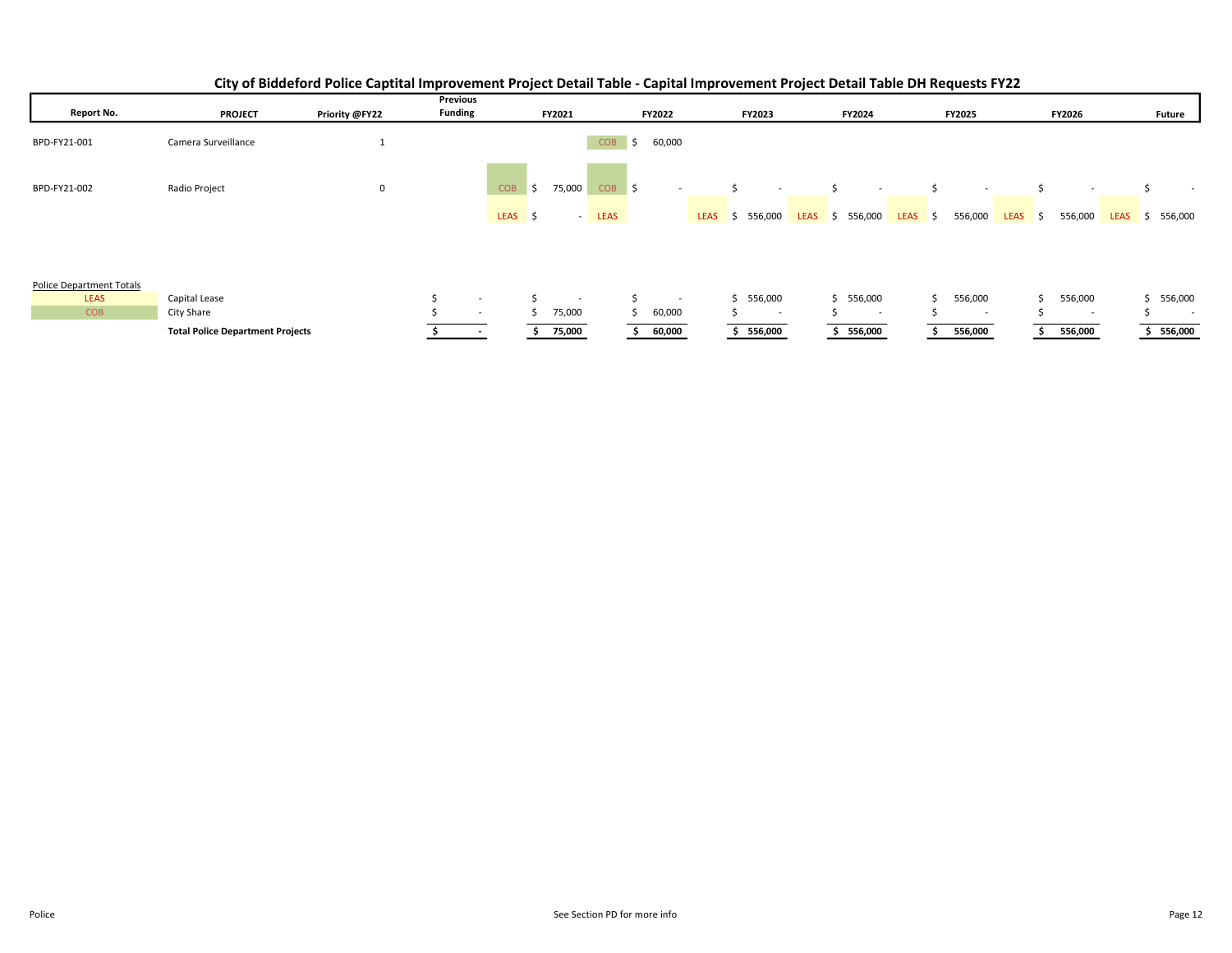|                                 |                                         |                | Previous                 |            |                          |                  |               |             |                          |             |                                |         |                          |             |                |             |               |
|---------------------------------|-----------------------------------------|----------------|--------------------------|------------|--------------------------|------------------|---------------|-------------|--------------------------|-------------|--------------------------------|---------|--------------------------|-------------|----------------|-------------|---------------|
| Report No.                      | <b>PROJECT</b>                          | Priority @FY22 | <b>Funding</b>           |            | FY2021                   |                  | <b>FY2022</b> |             | FY2023                   |             | FY2024                         |         | <b>FY2025</b>            |             | <b>FY2026</b>  |             | <b>Future</b> |
| BPD-FY21-001                    | Camera Surveillance                     | Ŧ              |                          |            |                          | <b>COB</b>       | 60,000<br>Ŝ.  |             |                          |             |                                |         |                          |             |                |             |               |
| BPD-FY21-002                    | Radio Project                           | 0              |                          | <b>COB</b> | 75,000<br>\$             | COB <sub>S</sub> | $\sim$        |             | $\overline{\phantom{a}}$ |             | ς.<br>$\overline{\phantom{a}}$ |         | $\sim$                   |             |                |             | $\sim$        |
|                                 |                                         |                |                          | LEAS \$    | $\sim$ 100 $\pm$         | <b>LEAS</b>      |               | <b>LEAS</b> | \$556,000                | <b>LEAS</b> | 556,000<br>S.                  | LEAS \$ | 556,000                  | <b>LEAS</b> | 556,000<br>- 5 | <b>LEAS</b> | 556,000<br>S. |
| <b>Police Department Totals</b> |                                         |                |                          |            |                          |                  |               |             |                          |             |                                |         |                          |             |                |             |               |
| <b>LEAS</b>                     | Capital Lease                           |                | $\sim$                   |            | $\overline{\phantom{a}}$ |                  | Ś,<br>$\sim$  |             | \$556,000                |             | 556,000<br>Ś.                  |         | 556,000                  |             | 556,000        |             | 556,000       |
| <b>COB</b>                      | City Share                              |                | $\overline{\phantom{a}}$ |            | 75,000                   |                  | 60,000        |             | $\overline{\phantom{a}}$ |             | $\sim$                         |         | $\overline{\phantom{a}}$ |             | $\sim$         |             | $\sim$        |
|                                 | <b>Total Police Department Projects</b> |                |                          |            | 75,000                   |                  | 60,000        |             | 556,000                  |             | 556,000                        |         | 556,000                  |             | 556,000        |             | 556,000       |

## City of Biddeford Police Captital Improvement Project Detail Table - Capital Improvement Project Detail Table DH Requests FY22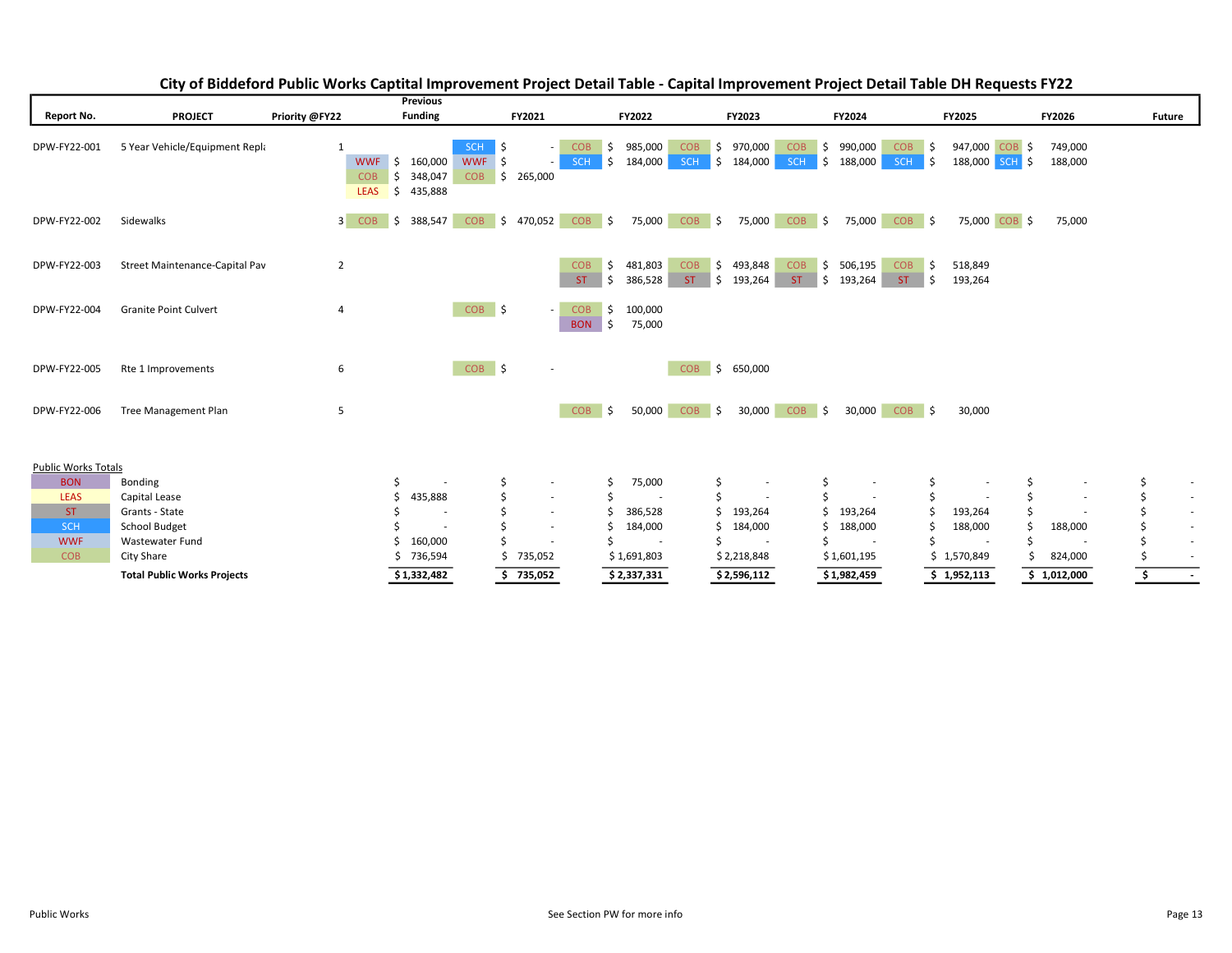|                            |                                    |                                                                                 | <b>Previous</b>                                                                   |                                                                                       |                                                                                  |                                                                                        |                                                |                    |               |  |
|----------------------------|------------------------------------|---------------------------------------------------------------------------------|-----------------------------------------------------------------------------------|---------------------------------------------------------------------------------------|----------------------------------------------------------------------------------|----------------------------------------------------------------------------------------|------------------------------------------------|--------------------|---------------|--|
| Report No.                 | <b>PROJECT</b>                     | Priority @FY22                                                                  | <b>Funding</b>                                                                    | FY2021                                                                                | FY2022<br><b>FY2023</b>                                                          | <b>FY2024</b>                                                                          | FY2025                                         | FY2026             | <b>Future</b> |  |
| DPW-FY22-001               | 5 Year Vehicle/Equipment Repla     | <b>WWF</b><br>$\overline{\phantom{a}}$<br><b>COB</b><br>Ŝ.<br><b>LEAS</b><br>\$ | SCH<br>Ŝ.<br>160,000<br><b>WWF</b><br>5<br><b>COB</b><br>348,047<br>\$<br>435,888 | <b>COB</b><br>S,<br>$\sim$<br><b>SCH</b><br>S.<br>$\overline{\phantom{a}}$<br>265,000 | 985,000<br>\$<br>970,000<br><b>COB</b><br>S.<br><b>SCH</b><br>184,000<br>184,000 | 990,000<br><b>COB</b><br><b>COB</b><br>\$<br>Ŝ.<br>188,000<br><b>SCH</b><br><b>SCH</b> | 947,000 COB \$<br>∣\$<br>l s<br>188,000 SCH \$ | 749,000<br>188,000 |               |  |
| DPW-FY22-002               | Sidewalks                          | 3 COB<br>\$                                                                     | <b>COB</b><br>388,547<br>- \$                                                     | $COB$ \$<br>470,052                                                                   | $COB$ \$<br>75,000<br>75,000                                                     | $COB$ \$<br>$COB$ \$<br>75,000                                                         | 75,000 COB \$                                  | 75,000             |               |  |
| DPW-FY22-003               | Street Maintenance-Capital Pav     | $\overline{2}$                                                                  |                                                                                   | <b>COB</b><br>S,<br>ST.<br>ա \$                                                       | \$493,848<br>481,803<br><b>COB</b><br>\$<br>386,528<br>ST.<br>193,264            | <b>COB</b><br>I\$∶<br>506,195<br><b>COB</b><br>ST.<br>∥ \$<br>ST.<br>193,264           | ∣\$<br>518,849<br>l \$<br>193,264              |                    |               |  |
| DPW-FY22-004               | <b>Granite Point Culvert</b>       | 4                                                                               | COB \$                                                                            | <b>COB</b><br>\$<br>$\overline{\phantom{a}}$<br><b>BON</b><br>ا \$،                   | 100,000<br>75,000                                                                |                                                                                        |                                                |                    |               |  |
| DPW-FY22-005               | Rte 1 Improvements                 | 6                                                                               | $COB$ \$                                                                          | $\overline{\phantom{a}}$                                                              | <b>COB</b><br>$\vert$ \$<br>650,000                                              |                                                                                        |                                                |                    |               |  |
| DPW-FY22-006               | <b>Tree Management Plan</b>        | 5                                                                               |                                                                                   | <b>COB</b><br>I\$                                                                     | <b>COB</b><br>50,000<br>30,000<br>$\vert$ \$                                     | <b>COB</b><br>30,000<br>COB <sub>S</sub><br>$\vert$ \$                                 | 30,000                                         |                    |               |  |
| <b>Public Works Totals</b> |                                    |                                                                                 |                                                                                   |                                                                                       |                                                                                  |                                                                                        |                                                |                    |               |  |
| <b>BON</b>                 | Bonding                            | \$                                                                              | Ś                                                                                 | Ś<br>$\overline{\phantom{a}}$                                                         | 75,000<br>\$<br>$\sim$                                                           | \$                                                                                     | \$<br>\$<br>$\overline{\phantom{a}}$           |                    | Ś<br>$\sim$   |  |
| <b>LEAS</b>                | Capital Lease                      |                                                                                 | 435,888                                                                           | $\overline{\phantom{a}}$                                                              | Ś<br>$\overline{\phantom{a}}$<br>$\overline{\phantom{a}}$                        |                                                                                        | \$<br>Š.                                       | $\sim$             | $\sim$        |  |
| ST.                        | Grants - State                     |                                                                                 |                                                                                   | $\overline{\phantom{a}}$                                                              | 386,528<br>193,264                                                               | 193,264                                                                                | 193,264<br>Ś                                   |                    | $\sim$        |  |
| <b>SCH</b>                 | School Budget                      |                                                                                 |                                                                                   | $\overline{\phantom{a}}$                                                              | 184,000<br>184,000                                                               | 188,000                                                                                | 188,000<br>Ś                                   | 188,000            | $\sim$        |  |
| <b>WWF</b>                 | Wastewater Fund                    |                                                                                 | 160,000                                                                           |                                                                                       | $\overline{a}$                                                                   |                                                                                        |                                                |                    | $\sim$        |  |
| <b>COB</b>                 | City Share                         | Ś.                                                                              | 736,594                                                                           | 735,052                                                                               | \$1,691,803<br>\$2,218,848                                                       | \$1,601,195                                                                            | \$1,570,849                                    | 824,000            | $\sim$        |  |
|                            | <b>Total Public Works Projects</b> |                                                                                 | \$1,332,482                                                                       | 735,052                                                                               | \$2,337,331<br>\$2,596,112                                                       | \$1,982,459                                                                            | \$1,952,113                                    | \$1,012,000        | \$<br>$\sim$  |  |

## City of Biddeford Public Works Captital Improvement Project Detail Table - Capital Improvement Project Detail Table DH Requests FY22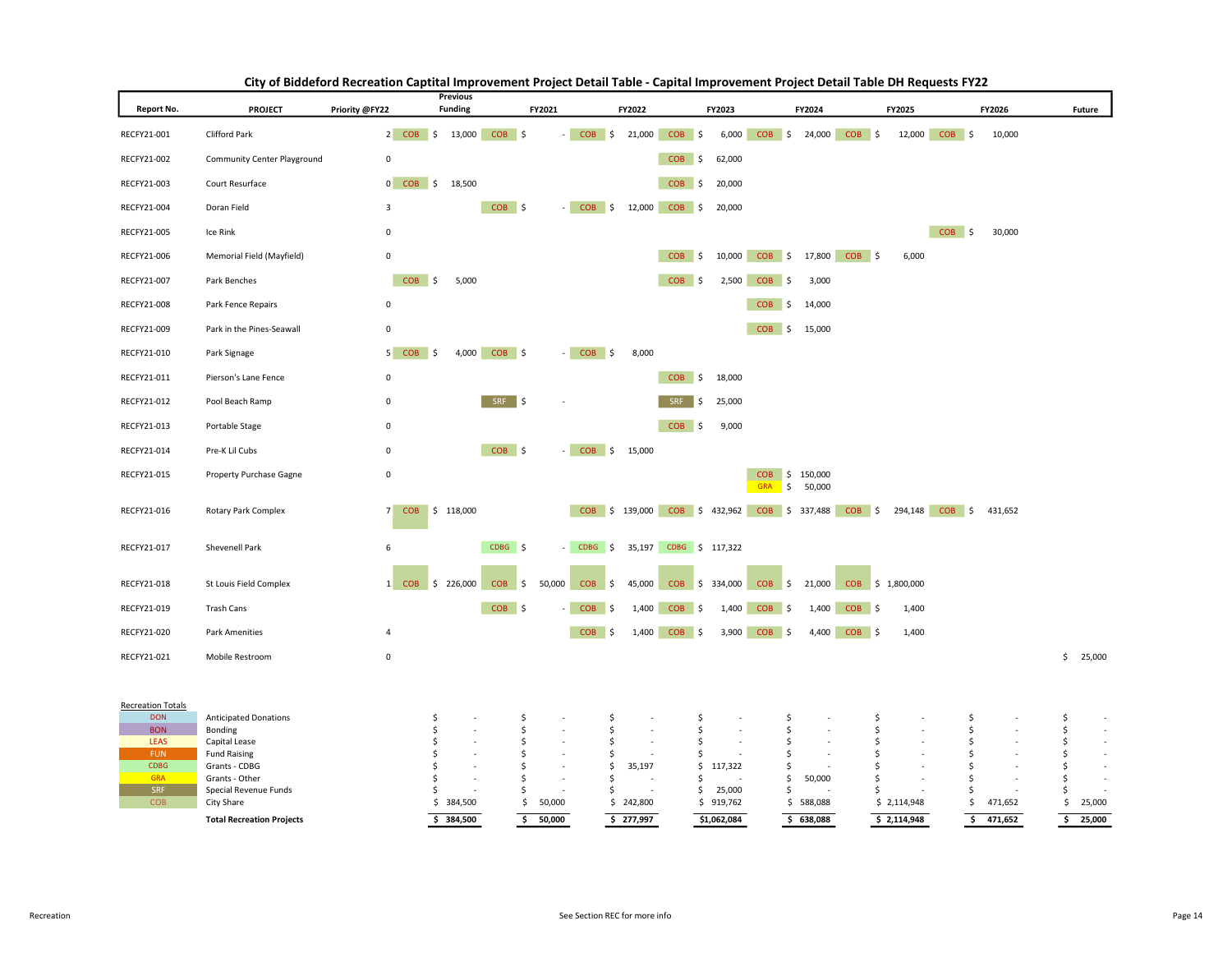| Report No.                | <b>PROJECT</b>                          | Priority @FY22          | <b>Previous</b><br><b>Funding</b> |                  | FY2021  |                             | FY2022           |                             | FY2023              |                                            | FY2024                 |                  | FY2025           |                | FY2026  | Future                       |
|---------------------------|-----------------------------------------|-------------------------|-----------------------------------|------------------|---------|-----------------------------|------------------|-----------------------------|---------------------|--------------------------------------------|------------------------|------------------|------------------|----------------|---------|------------------------------|
| RECFY21-001               | Clifford Park                           | 2 COB \$ 13,000         |                                   | $COB$ \$         | ×.      | $COB$ \$                    |                  | $21,000$ COB \$             |                     | 6,000 COB \$ 24,000 COB \$                 |                        |                  |                  | 12,000 COB \$  | 10,000  |                              |
| RECFY21-002               | Community Center Playground             | 0                       |                                   |                  |         |                             |                  | <b>COB</b><br>∣\$           | 62,000              |                                            |                        |                  |                  |                |         |                              |
| RECFY21-003               | Court Resurface                         | 0 COB \$ 18,500         |                                   |                  |         |                             |                  | <b>COB</b><br><b>S</b>      | 20,000              |                                            |                        |                  |                  |                |         |                              |
| RECFY21-004               | Doran Field                             | 3                       |                                   | $COB$ \$         |         | <b>COB</b><br>$\frac{1}{2}$ | 12,000           | <b>COB</b><br>- \$          | 20,000              |                                            |                        |                  |                  |                |         |                              |
| RECFY21-005               | Ice Rink                                | $\mathbf 0$             |                                   |                  |         |                             |                  |                             |                     |                                            |                        |                  |                  | $COB$ \$       | 30,000  |                              |
| RECFY21-006               | Memorial Field (Mayfield)               | $\mathbf 0$             |                                   |                  |         |                             |                  | <b>COB</b><br>  \$          | 10,000              |                                            | COB \$ 17,800          | $COB$ \$         | 6,000            |                |         |                              |
| RECFY21-007               | Park Benches                            | $COB$ \$                | 5,000                             |                  |         |                             |                  | <b>COB</b><br>$\frac{1}{2}$ | 2,500               | COB <sub>\$</sub>                          | 3,000                  |                  |                  |                |         |                              |
| RECFY21-008               | Park Fence Repairs                      | $\mathbf 0$             |                                   |                  |         |                             |                  |                             |                     | <b>COB</b><br>\$                           | 14,000                 |                  |                  |                |         |                              |
| RECFY21-009               | Park in the Pines-Seawall               | $\mathbf 0$             |                                   |                  |         |                             |                  |                             |                     |                                            | COB \$ 15,000          |                  |                  |                |         |                              |
| RECFY21-010               | Park Signage                            | 5 COB<br>$\vert$ \$     | 4,000                             | $COB$ \$         |         | $-COB$ \$                   | 8,000            |                             |                     |                                            |                        |                  |                  |                |         |                              |
| RECFY21-011               | Pierson's Lane Fence                    | 0                       |                                   |                  |         |                             |                  | $COB$ \$                    | 18,000              |                                            |                        |                  |                  |                |         |                              |
| RECFY21-012               | Pool Beach Ramp                         | 0                       |                                   | SRF \$           |         |                             |                  | SRF<br>Ś                    | 25,000              |                                            |                        |                  |                  |                |         |                              |
| RECFY21-013               | Portable Stage                          | 0                       |                                   |                  |         |                             |                  | <b>COB</b><br>∥\$           | 9,000               |                                            |                        |                  |                  |                |         |                              |
| RECFY21-014               | Pre-K Lil Cubs                          | $\mathsf 0$             |                                   | $COB$ \$         |         |                             | $-COB$ \$ 15,000 |                             |                     |                                            |                        |                  |                  |                |         |                              |
| RECFY21-015               | Property Purchase Gagne                 | $\mathsf 0$             |                                   |                  |         |                             |                  |                             |                     | <b>COB</b><br><b>GRA</b>                   | \$150,000<br>\$ 50,000 |                  |                  |                |         |                              |
| RECFY21-016               | Rotary Park Complex                     | 7<br><b>COB</b>         | \$118,000                         |                  |         |                             | COB \$ 139,000   |                             |                     | $COB$ \$ 432,962 $COB$ \$ 337,488 $COB$ \$ |                        |                  |                  | 294,148 COB \$ | 431,652 |                              |
| RECFY21-017               | Shevenell Park                          | 6                       |                                   | CDBG \$          |         | $-$ CDBG $\frac{1}{2}$      |                  | 35,197 CDBG \$ 117,322      |                     |                                            |                        |                  |                  |                |         |                              |
| RECFY21-018               | St Louis Field Complex                  | <b>COB</b><br>$1 \vert$ | \$226,000                         | \$<br><b>COB</b> | 50,000  | <b>COB</b><br>$\vert$ \$    | 45,000           | <b>COB</b>                  | \$334,000           | <b>COB</b><br>$\frac{1}{2}$                | 21,000                 |                  | COB \$ 1,800,000 |                |         |                              |
| RECFY21-019               | <b>Trash Cans</b>                       |                         |                                   | $COB$ \$         |         | COB <sub>S</sub>            | 1,400            | <b>COB</b><br>- 5           | 1,400               | $COB$ $\sim$                               | 1,400                  | COB <sub>S</sub> | 1,400            |                |         |                              |
| RECFY21-020               | <b>Park Amenities</b>                   | 4                       |                                   |                  |         | $COB$ \$                    | 1,400            | <b>COB</b><br>$\frac{1}{2}$ | 3,900               | <b>COB</b><br>-\$                          | 4,400                  | $COB$ \$         | 1,400            |                |         |                              |
| RECFY21-021               | Mobile Restroom                         | $\mathbf 0$             |                                   |                  |         |                             |                  |                             |                     |                                            |                        |                  |                  |                |         | 25,000<br>\$                 |
| <b>Recreation Totals</b>  |                                         |                         |                                   |                  |         |                             |                  |                             |                     |                                            |                        |                  |                  |                |         |                              |
| <b>DON</b><br><b>BON</b>  | <b>Anticipated Donations</b><br>Bonding | \$<br>\$                |                                   | \$<br>\$         | ÷       | \$.<br>\$                   | ÷.               | \$<br>\$                    |                     | \$<br>\$                                   |                        | \$<br>\$         |                  | \$<br>\$       |         | \$<br>$\sim$<br>\$<br>$\sim$ |
| <b>LEAS</b><br><b>FUN</b> | Capital Lease<br><b>Fund Raising</b>    | \$<br>\$                | i.                                | \$<br>\$         | ×,<br>٠ | \$<br>\$                    | $\sim$           | \$<br>\$                    | ٠                   | \$<br>\$                                   |                        | \$<br>Ś          |                  | \$<br>\$       |         | \$<br>$\sim$<br>Ś<br>$\sim$  |
| <b>CDBG</b>               | Grants - CDBG                           | \$                      |                                   | \$               |         | \$                          | 35,197           | \$                          | 117,322             | \$                                         |                        | Ś                |                  | \$             |         | \$<br>$\sim$                 |
| <b>GRA</b><br>SRF         | Grants - Other                          | \$                      |                                   | \$               |         | Ŝ.<br>Ŝ                     |                  | Ś<br>\$                     |                     | \$                                         | 50,000                 | Ś<br>Ś           |                  | \$<br>\$       |         | Ŝ<br>Ŝ                       |
| COB                       | Special Revenue Funds<br>City Share     | \$                      | \$384,500                         | \$<br>\$         | 50,000  |                             | \$242,800        |                             | 25,000<br>\$919,762 | \$                                         | \$588,088              |                  | \$2,114,948      | \$             | 471,652 | 25,000<br>\$                 |
|                           | <b>Total Recreation Projects</b>        |                         | \$384,500                         | \$               | 50.000  |                             | \$277,997        |                             | \$1,062,084         |                                            | \$638,088              |                  | \$2,114,948      | Ś.             | 471,652 | Ŝ.<br>25,000                 |

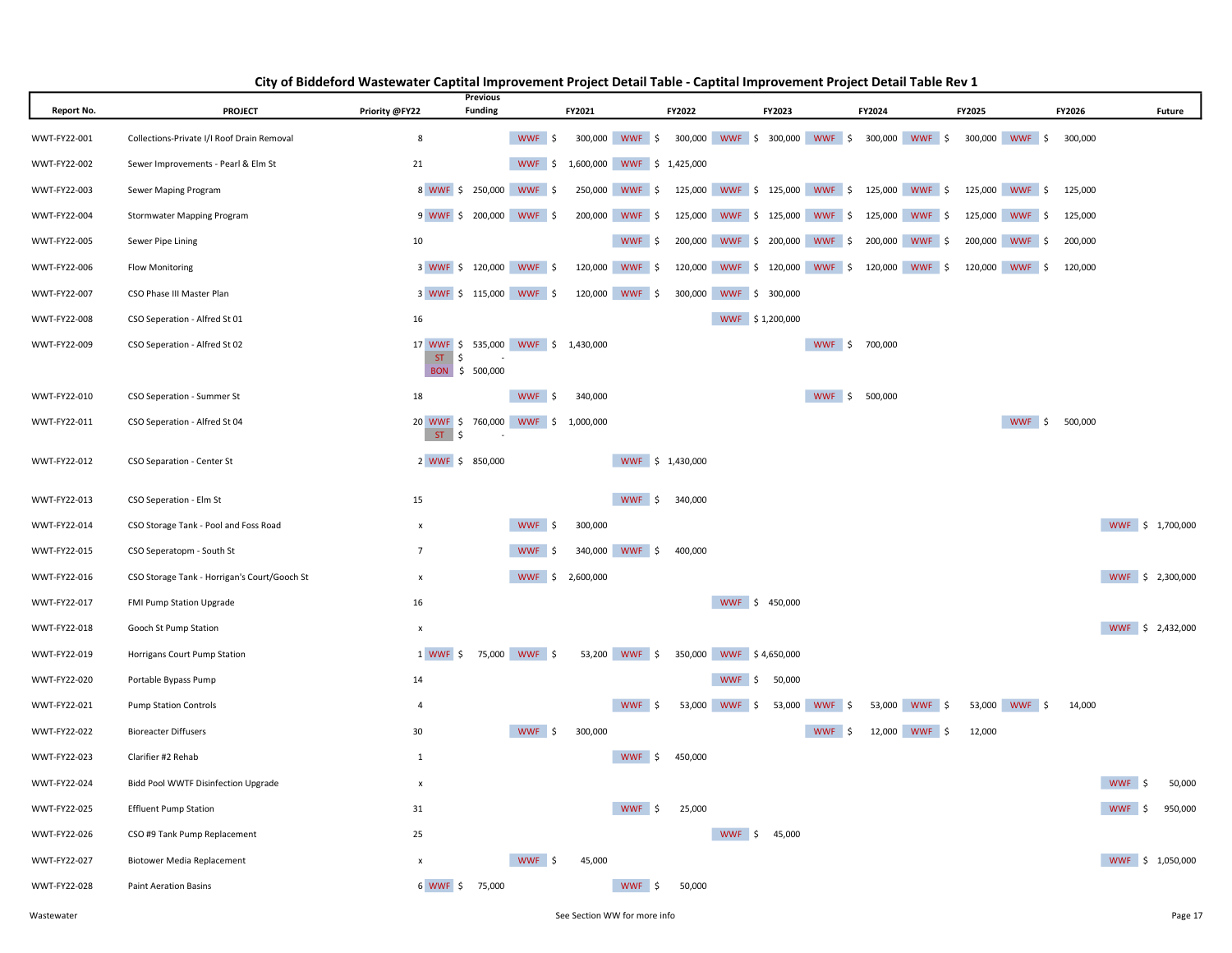| <b>Report No.</b> | <b>PROJECT</b>                               | Priority @FY22                     | <b>Previous</b><br><b>Funding</b> |                         | FY2021  |                            | FY2022  | FY2023                                                      |                   | FY2024         |                | FY2025  |                | FY2026  | Future                     |
|-------------------|----------------------------------------------|------------------------------------|-----------------------------------|-------------------------|---------|----------------------------|---------|-------------------------------------------------------------|-------------------|----------------|----------------|---------|----------------|---------|----------------------------|
| WWT-FY22-001      | Collections-Private I/I Roof Drain Removal   | 8                                  |                                   | WWF \$                  |         | 300,000 WWF \$             |         | 300,000 WWF \$ 300,000 WWF \$                               |                   |                | 300,000 WWF \$ |         | 300,000 WWF \$ | 300,000 |                            |
| WWT-FY22-002      | Sewer Improvements - Pearl & Elm St          | 21                                 |                                   | WWF \$                  |         | 1,600,000 WWF \$ 1,425,000 |         |                                                             |                   |                |                |         |                |         |                            |
| WWT-FY22-003      | Sewer Maping Program                         |                                    |                                   | 8 WWF \$ 250,000 WWF \$ |         | 250,000 WWF \$             |         | 125,000 WWF \$ 125,000 WWF \$ 125,000 WWF \$ 125,000 WWF \$ |                   |                |                |         |                | 125,000 |                            |
| WWT-FY22-004      | Stormwater Mapping Program                   |                                    |                                   | 9 WWF \$ 200,000 WWF \$ |         | 200,000 WWF \$             |         | 125,000 WWF \$ 125,000 WWF \$                               |                   |                | 125,000 WWF \$ |         | 125,000 WWF \$ | 125,000 |                            |
| WWT-FY22-005      | Sewer Pipe Lining                            | 10                                 |                                   |                         |         | WWF \$                     |         | 200,000 WWF \$ 200,000 WWF \$                               |                   |                | 200,000 WWF \$ |         | 200,000 WWF \$ | 200,000 |                            |
| WWT-FY22-006      | <b>Flow Monitoring</b>                       | 3 WWF \$ 120,000 WWF \$            |                                   |                         | 120,000 | WWF \$                     |         | 120,000 WWF \$ 120,000 WWF \$                               |                   |                | 120,000 WWF \$ | 120,000 | WWF \$         | 120,000 |                            |
| WWT-FY22-007      | CSO Phase III Master Plan                    | 3 WWF \$ 115,000 WWF \$            |                                   |                         |         | 120,000 WWF \$             | 300,000 | WWF \$ 300,000                                              |                   |                |                |         |                |         |                            |
| WWT-FY22-008      | CSO Seperation - Alfred St 01                | 16                                 |                                   |                         |         |                            |         | WWF \$1,200,000                                             |                   |                |                |         |                |         |                            |
| WWT-FY22-009      | CSO Seperation - Alfred St 02                | 17 WWF \$ 535,000 WWF \$ 1,430,000 |                                   |                         |         |                            |         |                                                             |                   | WWF \$ 700,000 |                |         |                |         |                            |
|                   |                                              | ST<br>\$                           | BON \$ 500,000                    |                         |         |                            |         |                                                             |                   |                |                |         |                |         |                            |
| WWT-FY22-010      | CSO Seperation - Summer St                   | 18                                 |                                   | <b>WWF</b><br>.\$       | 340,000 |                            |         |                                                             | WWF \$            | 500,000        |                |         |                |         |                            |
| WWT-FY22-011      | CSO Seperation - Alfred St 04                | 20 WWF \$ 760,000 WWF \$ 1,000,000 |                                   |                         |         |                            |         |                                                             |                   |                |                |         | WWF \$         | 500,000 |                            |
|                   |                                              | ST<br>\$                           |                                   |                         |         |                            |         |                                                             |                   |                |                |         |                |         |                            |
| WWT-FY22-012      | CSO Separation - Center St                   | 2 WWF \$ 850,000                   |                                   |                         |         | WWF \$ 1,430,000           |         |                                                             |                   |                |                |         |                |         |                            |
| WWT-FY22-013      | CSO Seperation - Elm St                      | 15                                 |                                   |                         |         | WWF \$                     | 340,000 |                                                             |                   |                |                |         |                |         |                            |
| WWT-FY22-014      | CSO Storage Tank - Pool and Foss Road        | $\boldsymbol{\mathsf{x}}$          |                                   | WWF \$                  | 300,000 |                            |         |                                                             |                   |                |                |         |                |         | WWF \$ 1,700,000           |
| WWT-FY22-015      | CSO Seperatopm - South St                    | $\overline{7}$                     |                                   | WWF \$                  | 340,000 | WWF \$                     | 400,000 |                                                             |                   |                |                |         |                |         |                            |
| WWT-FY22-016      | CSO Storage Tank - Horrigan's Court/Gooch St | $\mathsf{x}$                       |                                   | WWF \$ 2,600,000        |         |                            |         |                                                             |                   |                |                |         |                |         | WWF \$ 2,300,000           |
| WWT-FY22-017      | FMI Pump Station Upgrade                     | 16                                 |                                   |                         |         |                            |         | WWF \$ 450,000                                              |                   |                |                |         |                |         |                            |
| WWT-FY22-018      | Gooch St Pump Station                        | x                                  |                                   |                         |         |                            |         |                                                             |                   |                |                |         |                |         | WWF \$ 2,432,000           |
| WWT-FY22-019      | Horrigans Court Pump Station                 | 1 WWF<br>\$                        |                                   | 75,000 WWF \$           |         | 53,200 WWF \$              |         | 350,000 WWF \$4,650,000                                     |                   |                |                |         |                |         |                            |
| WWT-FY22-020      | Portable Bypass Pump                         | 14                                 |                                   |                         |         |                            |         | WWF \$<br>50,000                                            |                   |                |                |         |                |         |                            |
| WWT-FY22-021      | <b>Pump Station Controls</b>                 | $\overline{4}$                     |                                   |                         |         | WWF \$                     | 53,000  | WWF \$                                                      | 53,000<br>WWF \$  |                | 53,000 WWF \$  |         | 53,000 WWF \$  | 14,000  |                            |
| WWT-FY22-022      | <b>Bioreacter Diffusers</b>                  | 30                                 |                                   | WWF \$                  | 300,000 |                            |         |                                                             | <b>WWF</b><br>-\$ | 12,000         | WWF \$         | 12,000  |                |         |                            |
| WWT-FY22-023      | Clarifier #2 Rehab                           | $\mathbf{1}$                       |                                   |                         |         | WWF \$                     | 450,000 |                                                             |                   |                |                |         |                |         |                            |
| WWT-FY22-024      | Bidd Pool WWTF Disinfection Upgrade          | $\boldsymbol{\mathsf{x}}$          |                                   |                         |         |                            |         |                                                             |                   |                |                |         |                |         | <b>WWF</b><br>-Ś<br>50,000 |
| WWT-FY22-025      | <b>Effluent Pump Station</b>                 | 31                                 |                                   |                         |         | WWF \$                     | 25,000  |                                                             |                   |                |                |         |                |         | 950,000<br>WWF \$          |
| WWT-FY22-026      | CSO #9 Tank Pump Replacement                 | 25                                 |                                   |                         |         |                            |         | WWF \$<br>45,000                                            |                   |                |                |         |                |         |                            |
| WWT-FY22-027      | Biotower Media Replacement                   | X                                  |                                   | WWF \$                  | 45,000  |                            |         |                                                             |                   |                |                |         |                |         | WWF \$ 1,050,000           |
| WWT-FY22-028      | <b>Paint Aeration Basins</b>                 | 6 WWF \$                           | 75,000                            |                         |         | WWF \$                     | 50,000  |                                                             |                   |                |                |         |                |         |                            |

#### City of Biddeford Wastewater Captital Improvement Project Detail Table - Captital Improvement Project Detail Table Rev 1